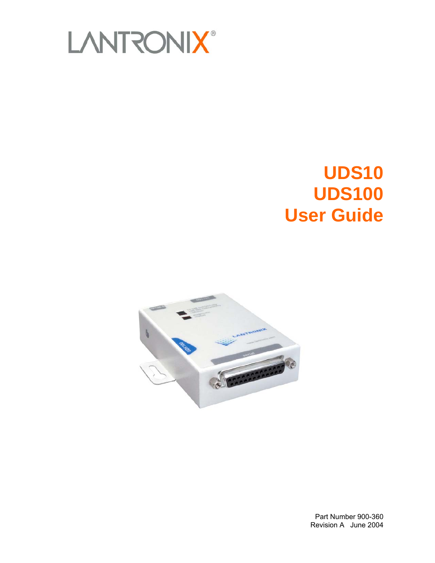

# **UDS10 UDS100 User Guide**



Part Number 900-360 Revision A June 2004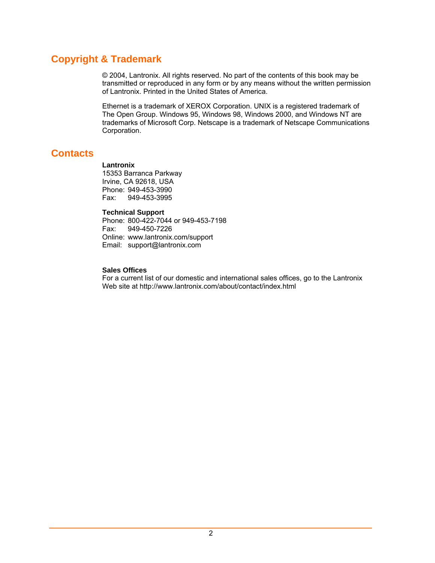# **Copyright & Trademark**

© 2004, Lantronix. All rights reserved. No part of the contents of this book may be transmitted or reproduced in any form or by any means without the written permission of Lantronix. Printed in the United States of America.

Ethernet is a trademark of XEROX Corporation. UNIX is a registered trademark of The Open Group. Windows 95, Windows 98, Windows 2000, and Windows NT are trademarks of Microsoft Corp. Netscape is a trademark of Netscape Communications Corporation.

# <span id="page-1-0"></span>**Contacts**

#### **Lantronix**

15353 Barranca Parkway Irvine, CA 92618, USA Phone: 949-453-3990 Fax: 949-453-3995

#### **Technical Support**

Phone: 800-422-7044 or 949-453-7198 Fax: 949-450-7226 Online: www.lantronix.com/support Email: support@lantronix.com

#### **Sales Offices**

For a current list of our domestic and international sales offices, go to the Lantronix Web site at http://www.lantronix.com/about/contact/index.html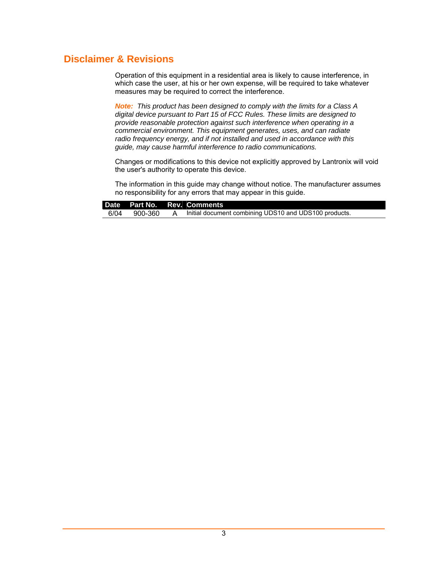# **Disclaimer & Revisions**

Operation of this equipment in a residential area is likely to cause interference, in which case the user, at his or her own expense, will be required to take whatever measures may be required to correct the interference.

*Note: This product has been designed to comply with the limits for a Class A digital device pursuant to Part 15 of FCC Rules. These limits are designed to provide reasonable protection against such interference when operating in a commercial environment. This equipment generates, uses, and can radiate radio frequency energy, and if not installed and used in accordance with this guide, may cause harmful interference to radio communications.* 

Changes or modifications to this device not explicitly approved by Lantronix will void the user's authority to operate this device.

The information in this guide may change without notice. The manufacturer assumes no responsibility for any errors that may appear in this guide.

|      |         | Date Part No. Rev. Comments                           |
|------|---------|-------------------------------------------------------|
| 6/04 | 900-360 | Initial document combining UDS10 and UDS100 products. |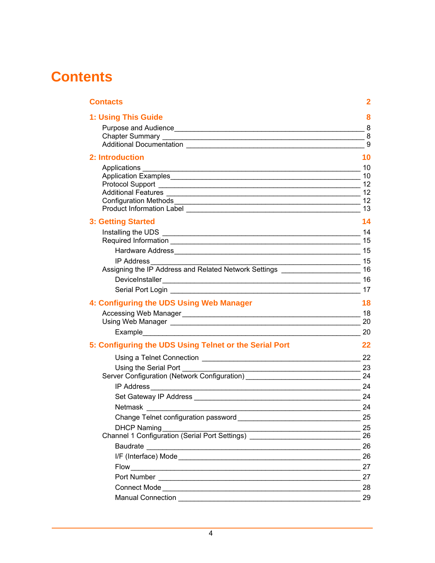# **Contents**

| <b>Contacts</b>                                                                                                                        | 2                |
|----------------------------------------------------------------------------------------------------------------------------------------|------------------|
| 1: Using This Guide                                                                                                                    | 8                |
|                                                                                                                                        |                  |
|                                                                                                                                        |                  |
|                                                                                                                                        | $\boldsymbol{9}$ |
| 2: Introduction                                                                                                                        | 10               |
|                                                                                                                                        | 10               |
|                                                                                                                                        | 10               |
|                                                                                                                                        |                  |
|                                                                                                                                        | 12               |
|                                                                                                                                        | 13               |
| <b>3: Getting Started</b>                                                                                                              | 14               |
|                                                                                                                                        |                  |
|                                                                                                                                        |                  |
|                                                                                                                                        |                  |
| $\overline{\phantom{a}15}$<br><b>IP Address</b><br>Assigning the IP Address and Related Network Settings __________________________ 16 |                  |
|                                                                                                                                        |                  |
|                                                                                                                                        | 17               |
|                                                                                                                                        |                  |
| 4: Configuring the UDS Using Web Manager                                                                                               | 18               |
|                                                                                                                                        |                  |
| Example 20                                                                                                                             |                  |
| 5: Configuring the UDS Using Telnet or the Serial Port                                                                                 | 22               |
|                                                                                                                                        | 22               |
| Using the Serial Port<br><u> 1989 - Johann Barbara, martxa alemaniar arg</u>                                                           | 23               |
| Server Configuration (Network Configuration) 24                                                                                        |                  |
|                                                                                                                                        |                  |
|                                                                                                                                        |                  |
| Netmask 24                                                                                                                             |                  |
|                                                                                                                                        | 25               |
| <b>DHCP Naming</b>                                                                                                                     | 25               |
| Channel 1 Configuration (Serial Port Settings)                                                                                         | 26               |
|                                                                                                                                        | 26               |
|                                                                                                                                        | 26               |
|                                                                                                                                        | 27               |
|                                                                                                                                        | 27               |
|                                                                                                                                        | 28               |
|                                                                                                                                        | 29               |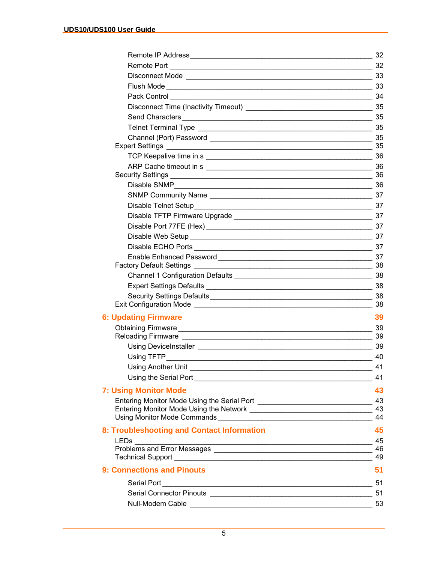|                                              | 32              |
|----------------------------------------------|-----------------|
|                                              | 32              |
|                                              |                 |
|                                              |                 |
| Pack Control 34                              |                 |
|                                              |                 |
| Send Characters <b>Commission Characters</b> | 35              |
|                                              |                 |
|                                              | 35              |
| <b>Expert Settings</b>                       | 35              |
|                                              |                 |
|                                              |                 |
|                                              | $-36$           |
|                                              |                 |
| SNMP Community Name                          |                 |
|                                              |                 |
|                                              |                 |
| Disable Port 77FE (Hex) 37                   |                 |
|                                              | 37              |
|                                              | 37              |
|                                              | $-38$           |
|                                              |                 |
|                                              |                 |
|                                              | 38              |
|                                              | 38              |
| <b>6: Updating Firmware</b>                  | 39              |
|                                              |                 |
|                                              |                 |
|                                              |                 |
|                                              |                 |
|                                              | $\overline{41}$ |
|                                              | 41              |
| <b>7: Using Monitor Mode</b>                 | 43              |
|                                              | 43              |
|                                              | 44              |
|                                              |                 |
| 8: Troubleshooting and Contact Information   | 45              |
|                                              |                 |
|                                              | -49             |
| <b>9: Connections and Pinouts</b>            | 51              |
|                                              | 51              |
|                                              |                 |
|                                              | 53              |
|                                              |                 |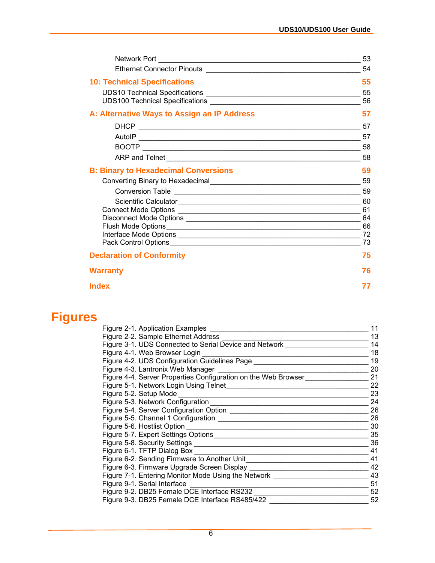|                                             | 53               |
|---------------------------------------------|------------------|
|                                             | 54               |
| <b>10: Technical Specifications</b>         | 55               |
|                                             | $\frac{1}{2}$ 55 |
|                                             | 56               |
| A: Alternative Ways to Assign an IP Address | 57               |
|                                             | 57               |
|                                             | 57               |
|                                             |                  |
|                                             |                  |
| <b>B: Binary to Hexadecimal Conversions</b> | 59               |
|                                             | 59               |
|                                             | 59               |
|                                             | 60               |
|                                             | 61<br>64         |
|                                             | 66               |
|                                             | 72               |
|                                             | 73               |
| <b>Declaration of Conformity</b>            | 75               |
| <b>Warranty</b>                             | 76               |
| Index                                       |                  |

# **Figures**

| Figure 2-1. Application Examples                               | 11 |
|----------------------------------------------------------------|----|
| Figure 2-2. Sample Ethernet Address                            | 13 |
| Figure 3-1. UDS Connected to Serial Device and Network         | 14 |
| Figure 4-1. Web Browser Login                                  | 18 |
| Figure 4-2. UDS Configuration Guidelines Page                  | 19 |
| Figure 4-3. Lantronix Web Manager                              | 20 |
| Figure 4-4. Server Properties Configuration on the Web Browser | 21 |
| Figure 5-1. Network Login Using Telnet                         | 22 |
| Figure 5-2. Setup Mode                                         | 23 |
| Figure 5-3. Network Configuration                              | 24 |
|                                                                | 26 |
|                                                                | 26 |
| Figure 5-6. Hostlist Option <b>Example 20</b> Security 1996    | 30 |
|                                                                | 35 |
|                                                                | 36 |
| Figure 6-1. TFTP Dialog Box _______                            | 41 |
| Figure 6-2. Sending Firmware to Another Unit                   | 41 |
|                                                                | 42 |
| Figure 7-1. Entering Monitor Mode Using the Network            | 43 |
| Figure 9-1. Serial Interface                                   | 51 |
| Figure 9-2. DB25 Female DCE Interface RS232                    | 52 |
| Figure 9-3. DB25 Female DCE Interface RS485/422                | 52 |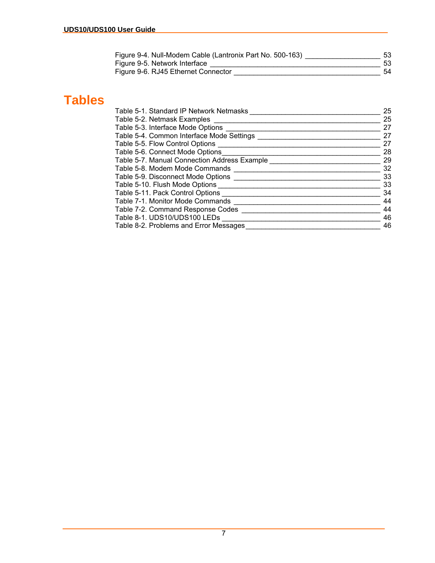| Figure 9-4. Null-Modem Cable (Lantronix Part No. 500-163) | 53 |
|-----------------------------------------------------------|----|
| Figure 9-5. Network Interface                             |    |
| Figure 9-6. RJ45 Ethernet Connector                       | 54 |

# **Tables**

| Table 5-1. Standard IP Network Netmasks      | 25 |
|----------------------------------------------|----|
| Table 5-2. Netmask Examples                  | 25 |
| Table 5-3. Interface Mode Options            | 27 |
| Table 5-4. Common Interface Mode Settings    | 27 |
| Table 5-5. Flow Control Options              | 27 |
| Table 5-6. Connect Mode Options              | 28 |
| Table 5-7. Manual Connection Address Example | 29 |
| Table 5-8. Modem Mode Commands               | 32 |
| Table 5-9. Disconnect Mode Options           | 33 |
| Table 5-10. Flush Mode Options               | 33 |
| Table 5-11. Pack Control Options             | 34 |
| Table 7-1. Monitor Mode Commands             | 44 |
| Table 7-2. Command Response Codes            | 44 |
| Table 8-1. UDS10/UDS100 LEDs                 | 46 |
| Table 8-2. Problems and Error Messages       | 46 |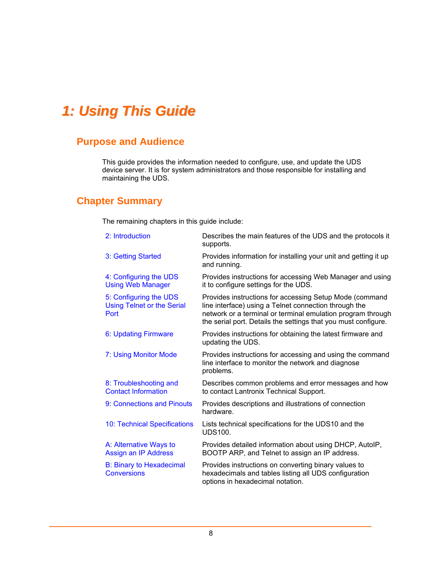# <span id="page-7-0"></span>*1: Using This Guide*

# <span id="page-7-1"></span>**Purpose and Audience**

This guide provides the information needed to configure, use, and update the UDS device server. It is for system administrators and those responsible for installing and maintaining the UDS.

# <span id="page-7-2"></span>**Chapter Summary**

The remaining chapters in this guide include:

| 2: Introduction                                                     | Describes the main features of the UDS and the protocols it<br>supports.                                                                                                                                                                          |
|---------------------------------------------------------------------|---------------------------------------------------------------------------------------------------------------------------------------------------------------------------------------------------------------------------------------------------|
| 3: Getting Started                                                  | Provides information for installing your unit and getting it up<br>and running.                                                                                                                                                                   |
| 4: Configuring the UDS<br><b>Using Web Manager</b>                  | Provides instructions for accessing Web Manager and using<br>it to configure settings for the UDS.                                                                                                                                                |
| 5: Configuring the UDS<br><b>Using Telnet or the Serial</b><br>Port | Provides instructions for accessing Setup Mode (command<br>line interface) using a Telnet connection through the<br>network or a terminal or terminal emulation program through<br>the serial port. Details the settings that you must configure. |
| 6: Updating Firmware                                                | Provides instructions for obtaining the latest firmware and<br>updating the UDS.                                                                                                                                                                  |
| 7: Using Monitor Mode                                               | Provides instructions for accessing and using the command<br>line interface to monitor the network and diagnose<br>problems.                                                                                                                      |
| 8: Troubleshooting and<br><b>Contact Information</b>                | Describes common problems and error messages and how<br>to contact Lantronix Technical Support.                                                                                                                                                   |
| 9: Connections and Pinouts                                          | Provides descriptions and illustrations of connection<br>hardware.                                                                                                                                                                                |
| 10: Technical Specifications                                        | Lists technical specifications for the UDS10 and the<br><b>UDS100.</b>                                                                                                                                                                            |
| A: Alternative Ways to<br>Assign an IP Address                      | Provides detailed information about using DHCP, AutoIP,<br>BOOTP ARP, and Telnet to assign an IP address.                                                                                                                                         |
| <b>B: Binary to Hexadecimal</b><br><b>Conversions</b>               | Provides instructions on converting binary values to<br>hexadecimals and tables listing all UDS configuration<br>options in hexadecimal notation.                                                                                                 |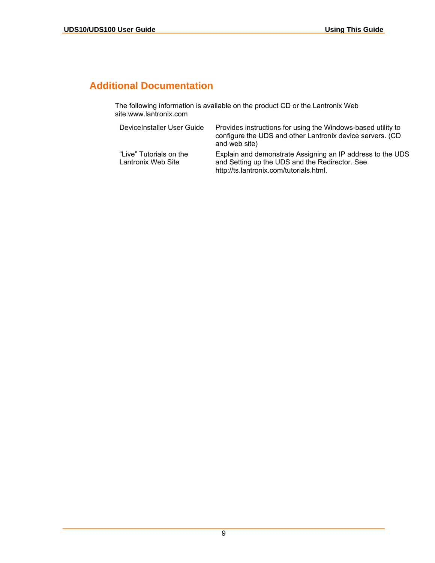# <span id="page-8-0"></span>**Additional Documentation**

The following information is available on the product CD or the Lantronix Web site:www.lantronix.com

| DeviceInstaller User Guide                    | Provides instructions for using the Windows-based utility to<br>configure the UDS and other Lantronix device servers. (CD<br>and web site)              |
|-----------------------------------------------|---------------------------------------------------------------------------------------------------------------------------------------------------------|
| "Live" Tutorials on the<br>Lantronix Web Site | Explain and demonstrate Assigning an IP address to the UDS<br>and Setting up the UDS and the Redirector. See<br>http://ts.lantronix.com/tutorials.html. |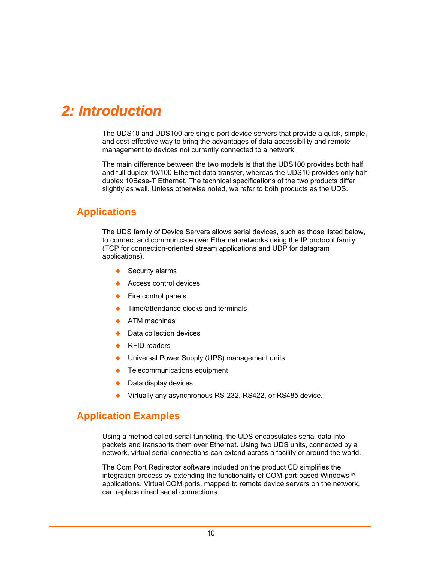# <span id="page-9-0"></span>*2: Introduction*

The UDS10 and UDS100 are single-port device servers that provide a quick, simple, and cost-effective way to bring the advantages of data accessibility and remote management to devices not currently connected to a network.

The main difference between the two models is that the UDS100 provides both half and full duplex 10/100 Ethernet data transfer, whereas the UDS10 provides only half duplex 10Base-T Ethernet. The technical specifications of the two products differ slightly as well. Unless otherwise noted, we refer to both products as the UDS.

# <span id="page-9-1"></span>**Applications**

The UDS family of Device Servers allows serial devices, such as those listed below, to connect and communicate over Ethernet networks using the IP protocol family (TCP for connection-oriented stream applications and UDP for datagram applications).

- $\triangleleft$  Security alarms
- ◆ Access control devices
- $\leftarrow$  Fire control panels
- Time/attendance clocks and terminals
- ATM machines
- Data collection devices
- RFID readers
- Universal Power Supply (UPS) management units
- Telecommunications equipment
- Data display devices
- Virtually any asynchronous RS-232, RS422, or RS485 device.

# <span id="page-9-2"></span>**Application Examples**

Using a method called serial tunneling, the UDS encapsulates serial data into packets and transports them over Ethernet. Using two UDS units, connected by a network, virtual serial connections can extend across a facility or around the world.

The Com Port Redirector software included on the product CD simplifies the integration process by extending the functionality of COM-port-based Windows™ applications. Virtual COM ports, mapped to remote device servers on the network, can replace direct serial connections.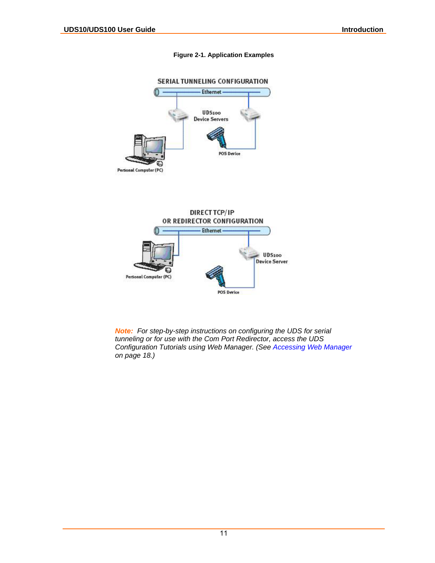#### <span id="page-10-0"></span>**Figure 2-1. Application Examples**





*Note: For step-by-step instructions on configuring the UDS for serial tunneling or for use with the Com Port Redirector, access the UDS Configuration Tutorials using Web Manager. (See [Accessing Web Manager](#page-17-1) on page [18.](#page-17-1))*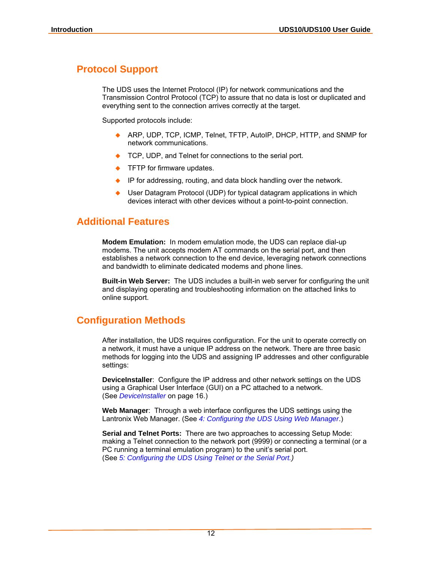# <span id="page-11-0"></span>**Protocol Support**

The UDS uses the Internet Protocol (IP) for network communications and the Transmission Control Protocol (TCP) to assure that no data is lost or duplicated and everything sent to the connection arrives correctly at the target.

Supported protocols include:

- ◆ ARP, UDP, TCP, ICMP, Telnet, TFTP, AutoIP, DHCP, HTTP, and SNMP for network communications.
- TCP, UDP, and Telnet for connections to the serial port.
- TFTP for firmware updates.
- IP for addressing, routing, and data block handling over the network.
- User Datagram Protocol (UDP) for typical datagram applications in which devices interact with other devices without a point-to-point connection.

# <span id="page-11-1"></span>**Additional Features**

**Modem Emulation:** In modem emulation mode, the UDS can replace dial-up modems. The unit accepts modem AT commands on the serial port, and then establishes a network connection to the end device, leveraging network connections and bandwidth to eliminate dedicated modems and phone lines.

**Built-in Web Server:** The UDS includes a built-in web server for configuring the unit and displaying operating and troubleshooting information on the attached links to online support.

# <span id="page-11-2"></span>**Configuration Methods**

After installation, the UDS requires configuration. For the unit to operate correctly on a network, it must have a unique IP address on the network. There are three basic methods for logging into the UDS and assigning IP addresses and other configurable settings:

**DeviceInstaller**: Configure the IP address and other network settings on the UDS using a Graphical User Interface (GUI) on a PC attached to a network. (See *[DeviceInstaller](#page-15-1)* on page [16.](#page-15-1))

**Web Manager**: Through a web interface configures the UDS settings using the Lantronix Web Manager. (See *[4: Configuring the UDS Using Web Manager](#page-17-0)*.)

**Serial and Telnet Ports:** There are two approaches to accessing Setup Mode: making a Telnet connection to the network port (9999) or connecting a terminal (or a PC running a terminal emulation program) to the unit's serial port. (See *[5: Configuring the UDS Using Telnet or the Serial Port.](#page-21-0))*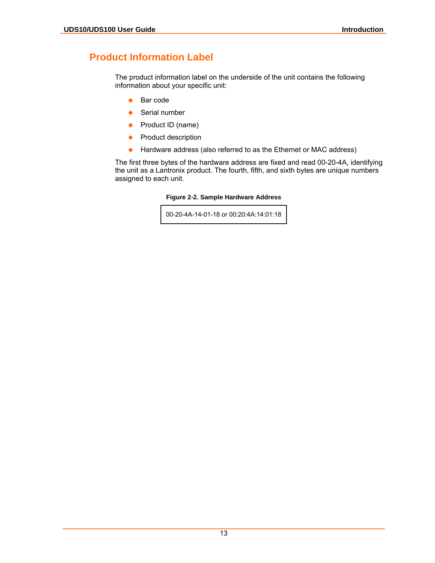# <span id="page-12-0"></span>**Product Information Label**

The product information label on the underside of the unit contains the following information about your specific unit:

- $\leftarrow$  Bar code
- Serial number
- ◆ Product ID (name)
- ◆ Product description
- ◆ Hardware address (also referred to as the Ethernet or MAC address)

The first three bytes of the hardware address are fixed and read 00-20-4A, identifying the unit as a Lantronix product. The fourth, fifth, and sixth bytes are unique numbers assigned to each unit.

<span id="page-12-1"></span>**Figure 2-2. Sample Hardware Address** 

00-20-4A-14-01-18 or 00:20:4A:14:01:18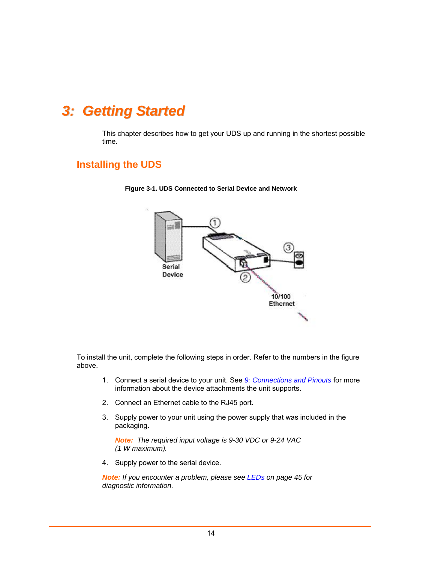# <span id="page-13-0"></span>*3: Getting Started*

This chapter describes how to get your UDS up and running in the shortest possible time.

# <span id="page-13-1"></span>**Installing the UDS**



<span id="page-13-2"></span>**Figure 3-1. UDS Connected to Serial Device and Network** 

To install the unit, complete the following steps in order. Refer to the numbers in the figure above.

- 1. Connect a serial device to your unit. See *[9: Connections and Pinouts](#page-50-0)* for more information about the device attachments the unit supports.
- 2. Connect an Ethernet cable to the RJ45 port.
- 3. Supply power to your unit using the power supply that was included in the packaging.

*Note: The required input voltage is 9-30 VDC or 9-24 VAC (1 W maximum).* 

4. Supply power to the serial device.

*Note: If you encounter a problem, please see [LEDs](#page-44-1) on page [45](#page-44-1) for diagnostic information.*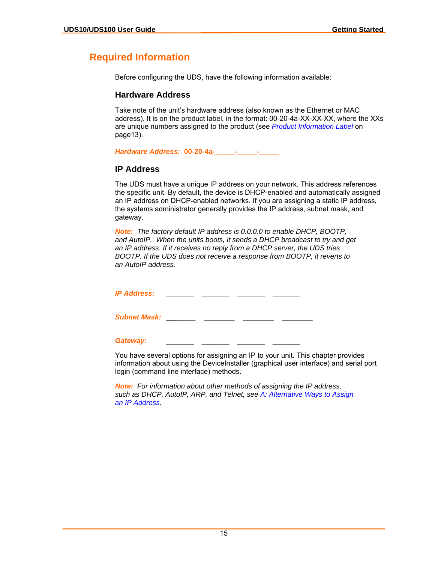# <span id="page-14-0"></span>**Required Information**

Before configuring the UDS, have the following information available:

#### <span id="page-14-1"></span>**Hardware Address**

Take note of the unit's hardware address (also known as the Ethernet or MAC address). It is on the product label, in the format: 00-20-4a-XX-XX-XX, where the XXs are unique numbers assigned to the product (see *[Product Information Label](#page-12-0)* on pag[e13\)](#page-12-0).

*Hardware Address:* **00-20-4a-\_\_\_\_\_-\_\_\_\_\_-\_\_\_\_\_**

# <span id="page-14-2"></span>**IP Address**

The UDS must have a unique IP address on your network. This address references the specific unit. By default, the device is DHCP-enabled and automatically assigned an IP address on DHCP-enabled networks. If you are assigning a static IP address, the systems administrator generally provides the IP address, subnet mask, and gateway.

*Note: The factory default IP address is 0.0.0.0 to enable DHCP, BOOTP, and AutoIP. When the units boots, it sends a DHCP broadcast to try and get an IP address. If it receives no reply from a DHCP server, the UDS tries BOOTP. If the UDS does not receive a response from BOOTP, it reverts to an AutoIP address.* 

*IP Address:* \_\_\_\_\_\_\_ \_\_\_\_\_\_\_ \_\_\_\_\_\_\_ \_\_\_\_\_\_\_

**Subnet Mask: \_\_\_\_\_\_\_\_ \_\_\_\_\_\_\_\_\_** 

#### Gateway:

You have several options for assigning an IP to your unit. This chapter provides information about using the DeviceInstaller (graphical user interface) and serial port login (command line interface) methods.

*Note: For information about other methods of assigning the IP address, such as DHCP, AutoIP, ARP, and Telnet, see [A: Alternative Ways to Assign](#page-56-0)  [an IP Address.](#page-56-0)*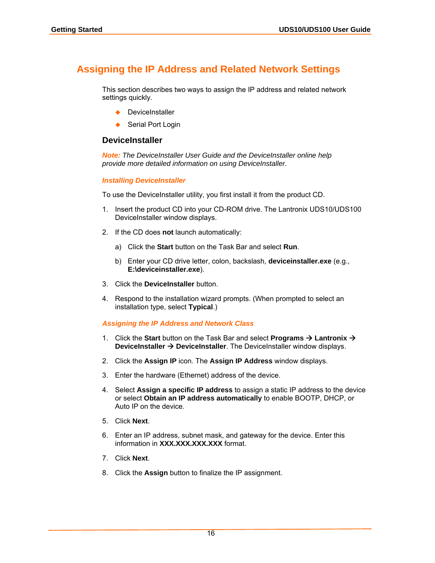# <span id="page-15-0"></span>**Assigning the IP Address and Related Network Settings**

This section describes two ways to assign the IP address and related network settings quickly.

- ◆ DeviceInstaller
- ◆ Serial Port Login

#### <span id="page-15-1"></span>**DeviceInstaller**

*Note: The DeviceInstaller User Guide and the DeviceInstaller online help provide more detailed information on using DeviceInstaller.* 

#### *Installing DeviceInstaller*

To use the DeviceInstaller utility, you first install it from the product CD.

- 1. Insert the product CD into your CD-ROM drive. The Lantronix UDS10/UDS100 DeviceInstaller window displays.
- 2. If the CD does **not** launch automatically:
	- a) Click the **Start** button on the Task Bar and select **Run**.
	- b) Enter your CD drive letter, colon, backslash, **deviceinstaller.exe** (e.g., **E:\deviceinstaller.exe**).
- 3. Click the **DeviceInstaller** button.
- 4. Respond to the installation wizard prompts. (When prompted to select an installation type, select **Typical**.)

#### *Assigning the IP Address and Network Class*

- 1. Click the **Start** button on the Task Bar and select **Programs → Lantronix → DeviceInstaller → DeviceInstaller**. The DeviceInstaller window displays.
- 2. Click the **Assign IP** icon. The **Assign IP Address** window displays.
- 3. Enter the hardware (Ethernet) address of the device.
- 4. Select **Assign a specific IP address** to assign a static IP address to the device or select **Obtain an IP address automatically** to enable BOOTP, DHCP, or Auto IP on the device.
- 5. Click **Next**.
- 6. Enter an IP address, subnet mask, and gateway for the device. Enter this information in **XXX.XXX.XXX.XXX** format.
- 7. Click **Next**.
- 8. Click the **Assign** button to finalize the IP assignment.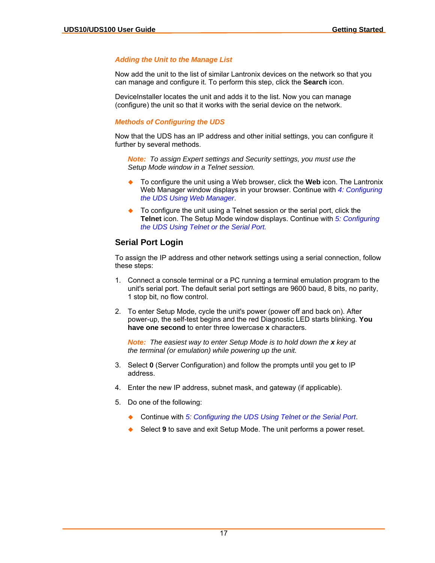#### *Adding the Unit to the Manage List*

Now add the unit to the list of similar Lantronix devices on the network so that you can manage and configure it. To perform this step, click the **Search** icon.

DeviceInstaller locates the unit and adds it to the list. Now you can manage (configure) the unit so that it works with the serial device on the network.

#### <span id="page-16-1"></span>*Methods of Configuring the UDS*

Now that the UDS has an IP address and other initial settings, you can configure it further by several methods.

*Note: To assign Expert settings and Security settings, you must use the Setup Mode window in a Telnet session.* 

- To configure the unit using a Web browser, click the **Web** icon. The Lantronix Web Manager window displays in your browser. Continue with *[4: Configuring](#page-17-0)  [the UDS Using Web Manager](#page-17-0)*.
- To configure the unit using a Telnet session or the serial port, click the **Telnet** icon. The Setup Mode window displays. Continue with *[5: Configuring](#page-21-0)  [the UDS Using Telnet or the Serial Port.](#page-21-0)*

# <span id="page-16-0"></span>**Serial Port Login**

To assign the IP address and other network settings using a serial connection, follow these steps:

- 1. Connect a console terminal or a PC running a terminal emulation program to the unit's serial port. The default serial port settings are 9600 baud, 8 bits, no parity, 1 stop bit, no flow control.
- 2. To enter Setup Mode, cycle the unit's power (power off and back on). After power-up, the self-test begins and the red Diagnostic LED starts blinking. **You have one second** to enter three lowercase **x** characters.

*Note: The easiest way to enter Setup Mode is to hold down the x key at the terminal (or emulation) while powering up the unit.*

- 3. Select **0** (Server Configuration) and follow the prompts until you get to IP address.
- 4. Enter the new IP address, subnet mask, and gateway (if applicable).
- 5. Do one of the following:
	- Continue with *[5: Configuring the UDS Using Telnet or the Serial Port](#page-21-0)*.
	- Select **9** to save and exit Setup Mode. The unit performs a power reset.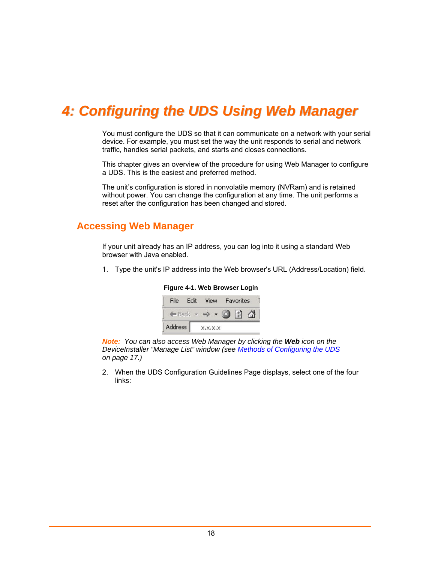# <span id="page-17-0"></span>*4: Configuring the UDS Using Web Manager*

You must configure the UDS so that it can communicate on a network with your serial device. For example, you must set the way the unit responds to serial and network traffic, handles serial packets, and starts and closes connections.

This chapter gives an overview of the procedure for using Web Manager to configure a UDS. This is the easiest and preferred method.

The unit's configuration is stored in nonvolatile memory (NVRam) and is retained without power. You can change the configuration at any time. The unit performs a reset after the configuration has been changed and stored.

# <span id="page-17-1"></span>**Accessing Web Manager**

If your unit already has an IP address, you can log into it using a standard Web browser with Java enabled.

1. Type the unit's IP address into the Web browser's URL (Address/Location) field.

<span id="page-17-2"></span>

**Figure 4-1. Web Browser Login** 

*Note: You can also access Web Manager by clicking the Web icon on the DeviceInstaller "Manage List" window (see [Methods of Configuring the UDS](#page-16-1) on page [17.](#page-16-1))* 

2. When the UDS Configuration Guidelines Page displays, select one of the four links: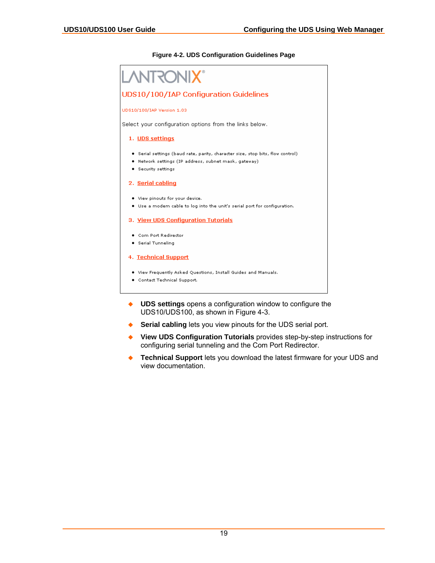#### <span id="page-18-0"></span>**Figure 4-2. UDS Configuration Guidelines Page**



- **UDS settings** opens a configuration window to configure the UDS10/UDS100, as shown in [Figure 4-3.](#page-19-2)
- **Serial cabling** lets you view pinouts for the UDS serial port.
- **View UDS Configuration Tutorials** provides step-by-step instructions for configuring serial tunneling and the Com Port Redirector.
- **Technical Support** lets you download the latest firmware for your UDS and view documentation.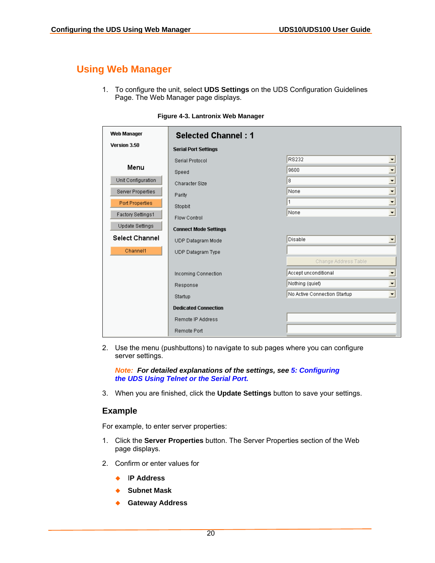# <span id="page-19-0"></span>**Using Web Manager**

1. To configure the unit, select **UDS Settings** on the UDS Configuration Guidelines Page. The Web Manager page displays.

| Web Manager            | <b>Selected Channel: 1</b>   |                                                          |
|------------------------|------------------------------|----------------------------------------------------------|
| Version 3.50           | <b>Serial Port Settings</b>  |                                                          |
|                        | Serial Protocol              | RS232<br>$\blacktriangledown$                            |
| Menu                   | Speed                        | $\overline{\phantom{0}}$<br>9600                         |
| Unit Configuration     | Character Size               | $\overline{\phantom{1}}$<br>8                            |
| Server Properties      | Parity                       | $\overline{ }$<br>None                                   |
| <b>Port Properties</b> | Stopbit                      | $\overline{\phantom{a}}$<br>1                            |
| Factory Settings1      | Flow Control                 | $\overline{\phantom{a}}$<br>None                         |
| <b>Update Settings</b> | <b>Connect Mode Settings</b> |                                                          |
| <b>Select Channel</b>  | UDP Datagram Mode            | Disable<br>$\blacktriangledown$                          |
| Channel1               | UDP Datagram Type            |                                                          |
|                        |                              | Change Address Table                                     |
|                        | Incoming Connection          | Accept unconditional<br>▼                                |
|                        | Response                     | $\overline{\phantom{a}}$<br>Nothing (quiet)              |
|                        | Startup                      | $\overline{\phantom{a}}$<br>No Active Connection Startup |
|                        | <b>Dedicated Connection</b>  |                                                          |
|                        | Remote IP Address            |                                                          |
|                        | Remote Port                  |                                                          |

<span id="page-19-2"></span>**Figure 4-3. Lantronix Web Manager** 

2. Use the menu (pushbuttons) to navigate to sub pages where you can configure server settings.

*Note: For detailed explanations of the settings, see [5: Configuring](#page-21-0)  [the UDS Using Telnet or the Serial Port.](#page-21-0)* 

3. When you are finished, click the **Update Settings** button to save your settings.

### <span id="page-19-1"></span>**Example**

For example, to enter server properties:

- 1. Click the **Server Properties** button. The Server Properties section of the Web page displays.
- 2. Confirm or enter values for
	- I**P Address**
	- ◆ Subnet Mask
	- **Gateway Address**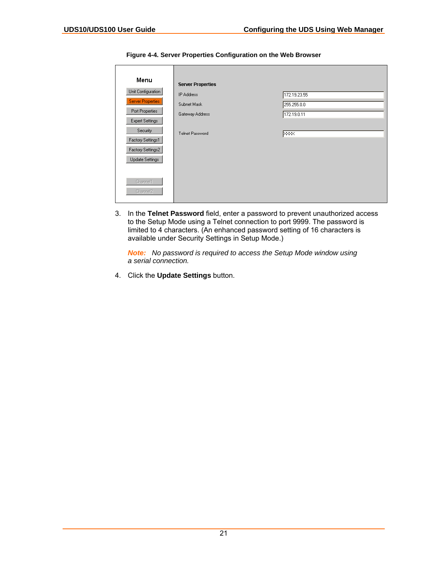| Menu                   | <b>Server Properties</b> |                           |
|------------------------|--------------------------|---------------------------|
| Unit Configuration     | <b>IP Address</b>        | 172.19.23.55              |
| Server Properties      | Subnet Mask              | 255.255.0.0               |
| Port Properties        | Gateway Address          | 172.19.0.11               |
| <b>Expert Settings</b> |                          |                           |
| Security               | Telnet Password          | $\overline{\times}\times$ |
| Factory Settings1      |                          |                           |
| Factory Settings2      |                          |                           |
| Update Settings        |                          |                           |
|                        |                          |                           |
| Channel1               |                          |                           |
| Channel2               |                          |                           |

<span id="page-20-0"></span>**Figure 4-4. Server Properties Configuration on the Web Browser** 

3. In the **Telnet Password** field, enter a password to prevent unauthorized access to the Setup Mode using a Telnet connection to port 9999. The password is limited to 4 characters. (An enhanced password setting of 16 characters is available under [Security Settings](#page-35-2) in Setup Mode.)

*Note: No password is required to access the Setup Mode window using a serial connection.* 

4. Click the **Update Settings** button.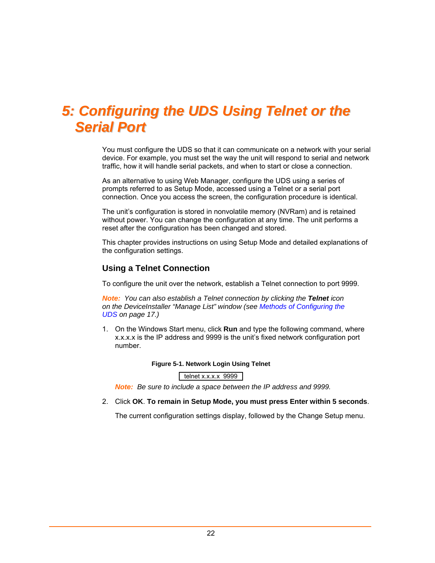# <span id="page-21-0"></span>*5: Configuring the UDS Using Telnet or the Serial Port*

You must configure the UDS so that it can communicate on a network with your serial device. For example, you must set the way the unit will respond to serial and network traffic, how it will handle serial packets, and when to start or close a connection.

As an alternative to using Web Manager, configure the UDS using a series of prompts referred to as Setup Mode, accessed using a Telnet or a serial port connection. Once you access the screen, the configuration procedure is identical.

The unit's configuration is stored in nonvolatile memory (NVRam) and is retained without power. You can change the configuration at any time. The unit performs a reset after the configuration has been changed and stored.

This chapter provides instructions on using Setup Mode and detailed explanations of the configuration settings.

# <span id="page-21-1"></span>**Using a Telnet Connection**

To configure the unit over the network, establish a Telnet connection to port 9999.

*Note: You can also establish a Telnet connection by clicking the Telnet icon on the DeviceInstaller "Manage List" window (see [Methods of Configuring the](#page-16-1)  [UDS](#page-16-1) on page [17.](#page-16-1))* 

1. On the Windows Start menu, click **Run** and type the following command, where x.x.x.x is the IP address and 9999 is the unit's fixed network configuration port number.

#### <span id="page-21-2"></span>**Figure 5-1. Network Login Using Telnet**

telnet x.x.x.x 9999

*Note: Be sure to include a space between the IP address and 9999.* 

#### 2. Click **OK**. **To remain in Setup Mode, you must press Enter within 5 seconds**.

The current configuration settings display, followed by the Change Setup menu.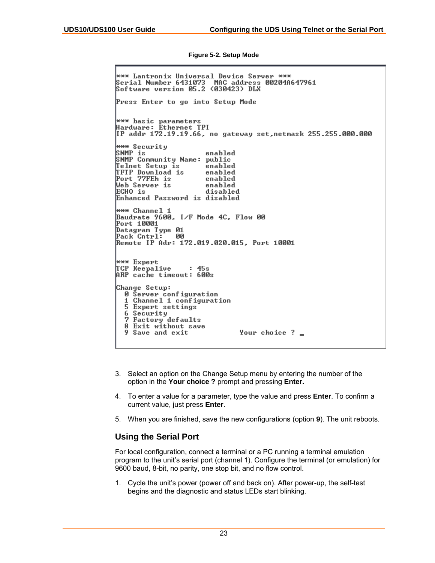<span id="page-22-1"></span>**Figure 5-2. Setup Mode** 

<del>\*\*\*</del> Lantronix Universal Device Server \*\*\* Serial Number 6431073 MAC address 00204A647961 Software version 05.2 (030423) DLX Press Enter to go into Setup Mode \*\*\* basic parameters<br>Hardware: Éthernet TPI<br>IP addr 172.19.19.66, no gateway set,netmask 255.255.000.000 \*\*\* Security SNMP is enable<br>SNMP Community Name: public enabled Telnet Setup is enabled TFTP Download is<br>Port 77FEh is enabled enabled Web Server is enabled ECHO is disabled Enhanced Password is disabled \*\*\* Channel 1 Baudrate 9600, I/F Mode 4C, Flow 00 Port 10001 Datagram Type 01 Pack Cntrl: ' - 00 Remote IP Adr: 172.019.020.015, Port 10001 \*\*\* Expert TCP Keepalive  $: 45s$ ARP cache timeout: 600s Change Setup: 0 Server configuration 1 Channel 1 configuration<br>5 Expert settings 6 Security 7 Factory defaults 8 Exit without save Your choice ? \_ 9 Save and exit

- 3. Select an option on the Change Setup menu by entering the number of the option in the **Your choice ?** prompt and pressing **Enter.**
- 4. To enter a value for a parameter, type the value and press **Enter**. To confirm a current value, just press **Enter**.
- 5. When you are finished, save the new configurations (option **9**). The unit reboots.

# <span id="page-22-0"></span>**Using the Serial Port**

For local configuration, connect a terminal or a PC running a terminal emulation program to the unit's serial port (channel 1). Configure the terminal (or emulation) for 9600 baud, 8-bit, no parity, one stop bit, and no flow control.

1. Cycle the unit's power (power off and back on). After power-up, the self-test begins and the diagnostic and status LEDs start blinking.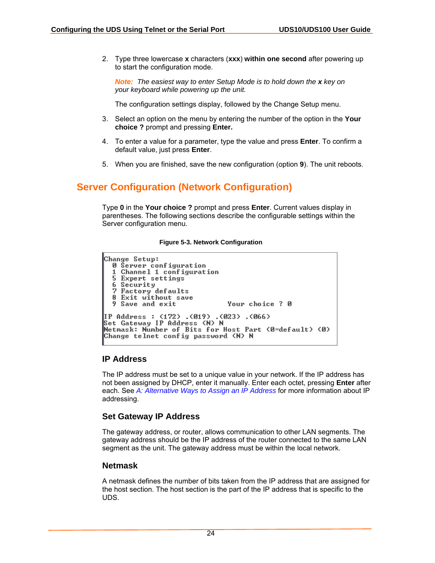2. Type three lowercase **x** characters (**xxx**) **within one second** after powering up to start the configuration mode.

*Note: The easiest way to enter Setup Mode is to hold down the x key on your keyboard while powering up the unit.* 

The configuration settings display, followed by the Change Setup menu.

- 3. Select an option on the menu by entering the number of the option in the **Your choice ?** prompt and pressing **Enter.**
- 4. To enter a value for a parameter, type the value and press **Enter**. To confirm a default value, just press **Enter**.
- 5. When you are finished, save the new configuration (option **9**). The unit reboots.

# <span id="page-23-0"></span>**Server Configuration (Network Configuration)**

Type **0** in the **Your choice ?** prompt and press **Enter**. Current values display in parentheses. The following sections describe the configurable settings within the Server configuration menu.

#### <span id="page-23-4"></span>**Figure 5-3. Network Configuration**

```
Change Setup:
  0 Server configuration
  1 Channel 1 configuration
  5 Expert settings
  6 Security<br>7 Factory defaults<br>8 Exit without save
  9 Save and exit
                                     Your choice ? 0
IP Address : (172) .(019) .(023) .(066)<br>Set Gateway IP Address (N) N
Netmask: Number of Bits for Host Part (0=default) (0)
Change telnet config password (N) N
```
### <span id="page-23-1"></span>**IP Address**

The IP address must be set to a unique value in your network. If the IP address has not been assigned by DHCP, enter it manually. Enter each octet, pressing **Enter** after each. See *[A: Alternative Ways to Assign an IP Address](#page-56-0)* for more information about IP addressing.

#### <span id="page-23-2"></span>**Set Gateway IP Address**

The gateway address, or router, allows communication to other LAN segments. The gateway address should be the IP address of the router connected to the same LAN segment as the unit. The gateway address must be within the local network.

#### <span id="page-23-3"></span>**Netmask**

A netmask defines the number of bits taken from the IP address that are assigned for the host section. The host section is the part of the IP address that is specific to the UDS.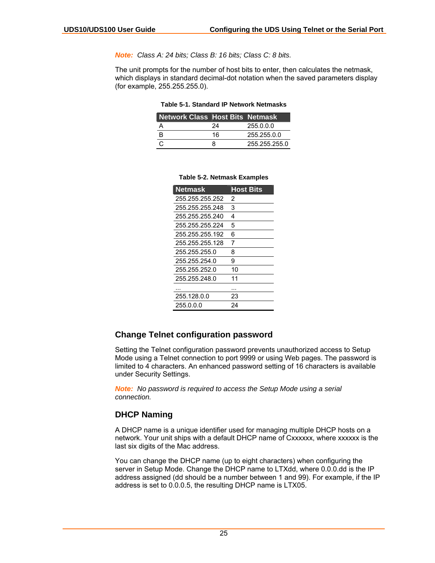*Note: Class A: 24 bits; Class B: 16 bits; Class C: 8 bits.* 

The unit prompts for the number of host bits to enter, then calculates the netmask, which displays in standard decimal-dot notation when the saved parameters display (for example, 255.255.255.0).

<span id="page-24-2"></span>

| <b>Network Class Host Bits Netmask</b> |    |               |
|----------------------------------------|----|---------------|
|                                        | 24 | 255.0.0.0     |
| B                                      | 16 | 255.255.0.0   |
| C                                      | R  | 255.255.255.0 |

| <b>Netmask</b>  | <b>Host Bits</b> |
|-----------------|------------------|
| 255.255.255.252 | 2                |
| 255.255.255.248 | 3                |
| 255.255.255.240 | 4                |
| 255 255 255 224 | 5                |
| 255.255.255.192 | 6                |
| 255.255.255.128 | 7                |
| 255 255 255 0   | 8                |
| 255.255.254.0   | 9                |
| 255.255.252.0   | 10               |
| 255.255.248.0   | 11               |
|                 |                  |
| 255.128.0.0     | 23               |
| 255.0.0.0       | 24               |

#### <span id="page-24-3"></span>**Table 5-2. Netmask Examples**

# <span id="page-24-0"></span>**Change Telnet configuration password**

Setting the Telnet configuration password prevents unauthorized access to Setup Mode using a Telnet connection to port 9999 or using Web pages. The password is limited to 4 characters. An enhanced password setting of 16 characters is available under Security Settings.

*Note: No password is required to access the Setup Mode using a serial connection.* 

#### <span id="page-24-1"></span>**DHCP Naming**

A DHCP name is a unique identifier used for managing multiple DHCP hosts on a network. Your unit ships with a default DHCP name of Cxxxxxx, where xxxxxx is the last six digits of the Mac address.

You can change the DHCP name (up to eight characters) when configuring the server in Setup Mode. Change the DHCP name to LTXdd, where 0.0.0.dd is the IP address assigned (dd should be a number between 1 and 99). For example, if the IP address is set to 0.0.0.5, the resulting DHCP name is LTX05.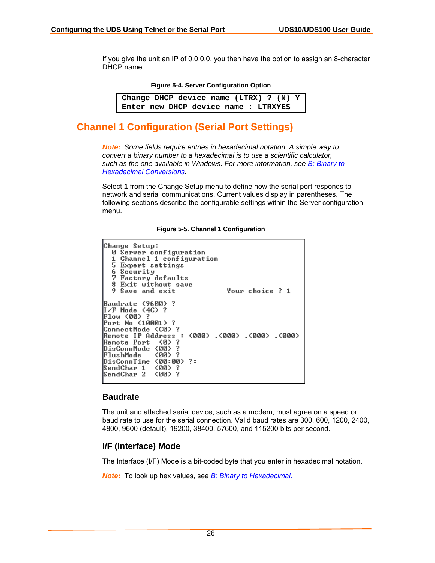If you give the unit an IP of 0.0.0.0, you then have the option to assign an 8-character DHCP name.

<span id="page-25-3"></span>**Figure 5-4. Server Configuration Option** 

```
Change DHCP device name (LTRX) ? (N) Y 
Enter new DHCP device name : LTRXYES
```
# <span id="page-25-0"></span>**Channel 1 Configuration (Serial Port Settings)**

*Note: Some fields require entries in hexadecimal notation. A simple way to convert a binary number to a hexadecimal is to use a scientific calculator, such as the one available in Windows. For more information, see [B: Binary to](#page-58-0)  [Hexadecimal Conversions.](#page-58-0)* 

Select **1** from the Change Setup menu to define how the serial port responds to network and serial communications. Current values display in parentheses. The following sections describe the configurable settings within the Server configuration menu.

<span id="page-25-4"></span>**Figure 5-5. Channel 1 Configuration** 

```
Change Setup:
  0 Server configuration
     Channel 1 configuration
  1.
  5 Expert settings
  6 Security<br>7 Factory defaults<br>8 Exit without save
                                     Your choice ? 1
  9 Save and exit
Baudrate <9600>?
I/F Mode (4C) ?
Flow (00) ?
Port No (10001) ?
ConnectMode (C0) ?
Bemote IP Address : (000) .(000) .(000) .(000)<br>Remote IP Address : (000) .(000) .(000) .(000)
DisConnMode
               (00) ?
               (00) ?
FlushMode
DisConnTime (00:00) ?:
SendChar 1
               (00)
               (00) ?
SendChar 2
```
### <span id="page-25-1"></span>**Baudrate**

The unit and attached serial device, such as a modem, must agree on a speed or baud rate to use for the serial connection. Valid baud rates are 300, 600, 1200, 2400, 4800, 9600 (default), 19200, 38400, 57600, and 115200 bits per second.

### <span id="page-25-2"></span>**I/F (Interface) Mode**

The Interface (I/F) Mode is a bit-coded byte that you enter in hexadecimal notation.

*Note***:** To look up hex values, see *[B: Binary to Hexadecimal](#page-58-0)*.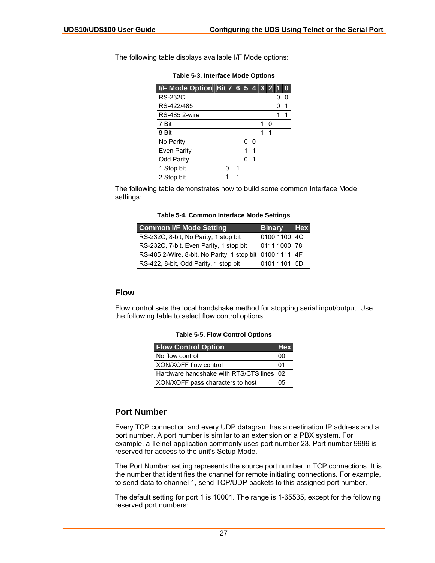| I/F Mode Option Bit 7 6 5 4 3 2 1 |   |   |   |   |   |   |   |
|-----------------------------------|---|---|---|---|---|---|---|
| <b>RS-232C</b>                    |   |   |   |   |   |   | O |
| RS-422/485                        |   |   |   |   |   | O | 1 |
| <b>RS-485 2-wire</b>              |   |   |   |   |   |   | 1 |
| 7 Bit                             |   |   |   |   | n |   |   |
| 8 Bit                             |   |   |   |   |   |   |   |
| No Parity                         |   |   | ი | n |   |   |   |
| <b>Even Parity</b>                |   |   | 1 |   |   |   |   |
| <b>Odd Parity</b>                 |   |   |   | 1 |   |   |   |
| 1 Stop bit                        | n | 1 |   |   |   |   |   |
| 2 Stop bit                        | 1 | 1 |   |   |   |   |   |

<span id="page-26-2"></span>**Table 5-3. Interface Mode Options** 

The following table displays available I/F Mode options:

The following table demonstrates how to build some common Interface Mode settings:

<span id="page-26-3"></span>**Table 5-4. Common Interface Mode Settings** 

| <b>Common I/F Mode Setting</b>                           | <b>Binary</b> Hex |  |
|----------------------------------------------------------|-------------------|--|
| RS-232C, 8-bit, No Parity, 1 stop bit                    | 0100 1100 4C      |  |
| RS-232C, 7-bit, Even Parity, 1 stop bit                  | 0111 1000 78      |  |
| RS-485 2-Wire, 8-bit, No Parity, 1 stop bit 0100 1111 4F |                   |  |
| RS-422, 8-bit, Odd Parity, 1 stop bit                    | 0101 1101 5D      |  |

### <span id="page-26-0"></span>**Flow**

Flow control sets the local handshake method for stopping serial input/output. Use the following table to select flow control options:

<span id="page-26-4"></span>

| <b>Table 5-5. Flow Control Options</b> |  |  |  |
|----------------------------------------|--|--|--|
|----------------------------------------|--|--|--|

| <b>Flow Control Option</b>               | <b>Hex</b> |
|------------------------------------------|------------|
| No flow control                          | იი         |
| XON/XOFF flow control                    | 01         |
| Hardware handshake with RTS/CTS lines 02 |            |
| XON/XOFF pass characters to host         | 05         |

# <span id="page-26-1"></span>**Port Number**

Every TCP connection and every UDP datagram has a destination IP address and a port number. A port number is similar to an extension on a PBX system. For example, a Telnet application commonly uses port number 23. Port number 9999 is reserved for access to the unit's Setup Mode.

The Port Number setting represents the source port number in TCP connections. It is the number that identifies the channel for remote initiating connections. For example, to send data to channel 1, send TCP/UDP packets to this assigned port number.

The default setting for port 1 is 10001. The range is 1-65535, except for the following reserved port numbers: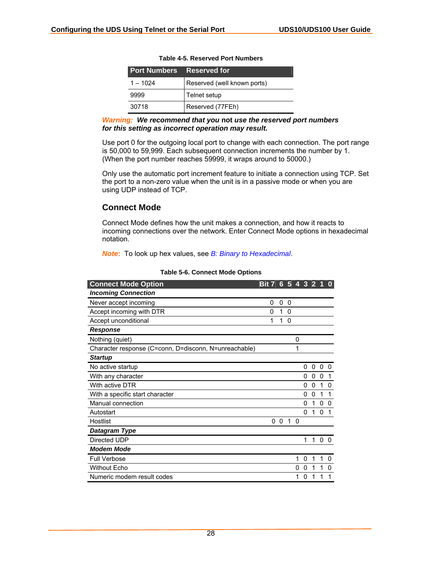| <b>Port Numbers Reserved for</b> |                             |
|----------------------------------|-----------------------------|
| $1 - 1024$                       | Reserved (well known ports) |
| 9999                             | Telnet setup                |
| 30718                            | Reserved (77FEh)            |

#### **Table 4-5. Reserved Port Numbers**

#### *Warning: We recommend that you* **not** *use the reserved port numbers for this setting as incorrect operation may result.*

Use port 0 for the outgoing local port to change with each connection. The port range is 50,000 to 59,999. Each subsequent connection increments the number by 1. (When the port number reaches 59999, it wraps around to 50000.)

Only use the automatic port increment feature to initiate a connection using TCP. Set the port to a non-zero value when the unit is in a passive mode or when you are using UDP instead of TCP.

### <span id="page-27-0"></span>**Connect Mode**

Connect Mode defines how the unit makes a connection, and how it reacts to incoming connections over the network. Enter Connect Mode options in hexadecimal notation.

*Note***:** To look up hex values, see *[B: Binary to Hexadecimal](#page-58-0)*.

| <b>Connect Mode Option</b>                            | <b>Bit 7</b> | 6 <sup>1</sup> | 5              | $\overline{4}$ | $\overline{\mathbf{3}}$ | $\overline{\mathbf{2}}$ |              |          |
|-------------------------------------------------------|--------------|----------------|----------------|----------------|-------------------------|-------------------------|--------------|----------|
| <b>Incoming Connection</b>                            |              |                |                |                |                         |                         |              |          |
| Never accept incoming                                 | 0            | 0              | 0              |                |                         |                         |              |          |
| Accept incoming with DTR                              | 0            | 1              | $\mathbf 0$    |                |                         |                         |              |          |
| Accept unconditional                                  | 1            | 1              | 0              |                |                         |                         |              |          |
| <b>Response</b>                                       |              |                |                |                |                         |                         |              |          |
| Nothing (quiet)                                       |              |                |                | 0              |                         |                         |              |          |
| Character response (C=conn, D=disconn, N=unreachable) |              |                |                | 1              |                         |                         |              |          |
| <b>Startup</b>                                        |              |                |                |                |                         |                         |              |          |
| No active startup                                     |              |                |                |                | 0                       | 0                       | 0            | 0        |
| With any character                                    |              |                |                |                | 0                       | 0                       | $\Omega$     | 1        |
| With active DTR                                       |              |                |                |                | 0                       | 0                       | 1            | $\Omega$ |
| With a specific start character                       |              |                |                |                | 0                       | 0                       | 1            | 1        |
| Manual connection                                     |              |                |                |                | 0                       | 1                       | 0            | $\Omega$ |
| Autostart                                             |              |                |                |                | <sup>0</sup>            | 1                       | $\mathbf{0}$ |          |
| Hostlist                                              | 0            |                | 0 <sub>1</sub> | $\Omega$       |                         |                         |              |          |
| Datagram Type                                         |              |                |                |                |                         |                         |              |          |
| Directed UDP                                          |              |                |                |                | 1                       |                         | $1\quad0$    | 0        |
| <b>Modem Mode</b>                                     |              |                |                |                |                         |                         |              |          |
| <b>Full Verbose</b>                                   |              |                |                | 1              | 0                       | 1                       | 1            | $\Omega$ |
| <b>Without Echo</b>                                   |              |                |                | 0              | 0                       | 1                       | 1            | 0        |
| Numeric modem result codes                            |              |                |                | 1              | 0                       | 1                       | 1            |          |

#### <span id="page-27-1"></span>**Table 5-6. Connect Mode Options**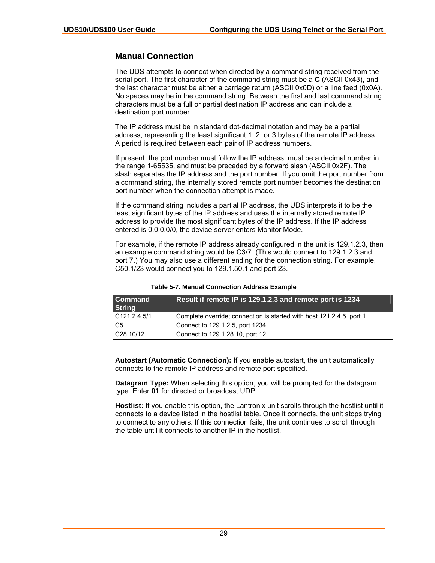# <span id="page-28-0"></span>**Manual Connection**

The UDS attempts to connect when directed by a command string received from the serial port. The first character of the command string must be a **C** (ASCII 0x43), and the last character must be either a carriage return (ASCII 0x0D) or a line feed (0x0A). No spaces may be in the command string. Between the first and last command string characters must be a full or partial destination IP address and can include a destination port number.

The IP address must be in standard dot-decimal notation and may be a partial address, representing the least significant 1, 2, or 3 bytes of the remote IP address. A period is required between each pair of IP address numbers.

If present, the port number must follow the IP address, must be a decimal number in the range 1-65535, and must be preceded by a forward slash (ASCII 0x2F). The slash separates the IP address and the port number. If you omit the port number from a command string, the internally stored remote port number becomes the destination port number when the connection attempt is made.

If the command string includes a partial IP address, the UDS interprets it to be the least significant bytes of the IP address and uses the internally stored remote IP address to provide the most significant bytes of the IP address. If the IP address entered is 0.0.0.0/0, the device server enters Monitor Mode.

For example, if the remote IP address already configured in the unit is 129.1.2.3, then an example command string would be C3/7. (This would connect to 129.1.2.3 and port 7.) You may also use a different ending for the connection string. For example, C50.1/23 would connect you to 129.1.50.1 and port 23.

| l Command<br>String       | Result if remote IP is 129.1.2.3 and remote port is 1234             |
|---------------------------|----------------------------------------------------------------------|
| C <sub>121</sub> .2.4.5/1 | Complete override; connection is started with host 121.2.4.5, port 1 |
| C5                        | Connect to 129.1.2.5, port 1234                                      |
| C <sub>28.10</sub> /12    | Connect to 129.1.28.10, port 12                                      |

<span id="page-28-1"></span>**Table 5-7. Manual Connection Address Example** 

**Autostart (Automatic Connection):** If you enable autostart, the unit automatically connects to the remote IP address and remote port specified.

**Datagram Type:** When selecting this option, you will be prompted for the datagram type. Enter **01** for directed or broadcast UDP.

**Hostlist:** If you enable this option, the Lantronix unit scrolls through the hostlist until it connects to a device listed in the hostlist table. Once it connects, the unit stops trying to connect to any others. If this connection fails, the unit continues to scroll through the table until it connects to another IP in the hostlist.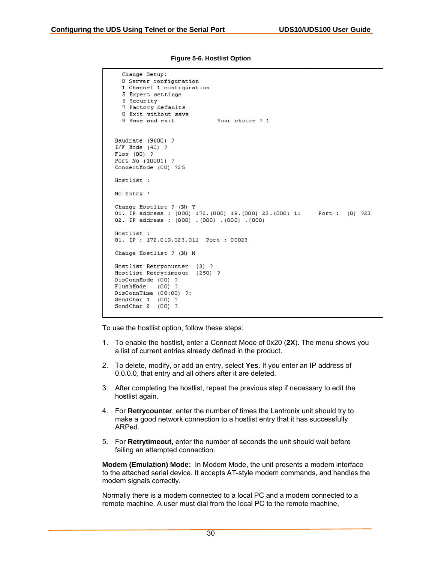| Change Setup:<br>O Server configuration<br>1 Channel 1 configuration<br>5 Expert settings<br>6 Security<br>7 Factory defaults<br>8 Exit without save<br>9 Save and exit.<br>Your choice 2:1 |
|---------------------------------------------------------------------------------------------------------------------------------------------------------------------------------------------|
| Baudrate (9600) ?<br>$I/F$ Mode $(4C)$ ?<br>$F1ow(00)$ ?<br>Port No (10001) ?<br>ConnectMode (CO) 725                                                                                       |
| Hostlist.<br>No Entry !                                                                                                                                                                     |
| Change Hostlist ? (N) Y<br>01. IP address:: (000) 172. (000) 19. (000) 23. (000) 11 Port:: (0) 223<br>02. IP address : $(000)$ . $(000)$ . $(000)$ . $(000)$                                |
| Hostlist 1<br>01. IP: 172.019.023.011 Port: 00023                                                                                                                                           |
| Change Hostlist ? (N) N                                                                                                                                                                     |
| Hostlist Retrycounter (3) ?<br>Hostlist Retrytimeout (250) ?<br>DisConnMode (00) ?<br>FlushMode (00) ?<br>DisConnTime (00:00) ?:<br>SendChar 1 (00) ?<br>SendChar $2 \quad (00)$ ?          |

<span id="page-29-0"></span>**Figure 5-6. Hostlist Option** 

To use the hostlist option, follow these steps:

- 1. To enable the hostlist, enter a Connect Mode of 0x20 (**2X**). The menu shows you a list of current entries already defined in the product.
- 2. To delete, modify, or add an entry, select **Yes**. If you enter an IP address of 0.0.0.0, that entry and all others after it are deleted.
- 3. After completing the hostlist, repeat the previous step if necessary to edit the hostlist again.
- 4. For **Retrycounter**, enter the number of times the Lantronix unit should try to make a good network connection to a hostlist entry that it has successfully ARPed.
- 5. For **Retrytimeout,** enter the number of seconds the unit should wait before failing an attempted connection.

**Modem (Emulation) Mode:** In Modem Mode, the unit presents a modem interface to the attached serial device. It accepts AT-style modem commands, and handles the modem signals correctly.

Normally there is a modem connected to a local PC and a modem connected to a remote machine. A user must dial from the local PC to the remote machine,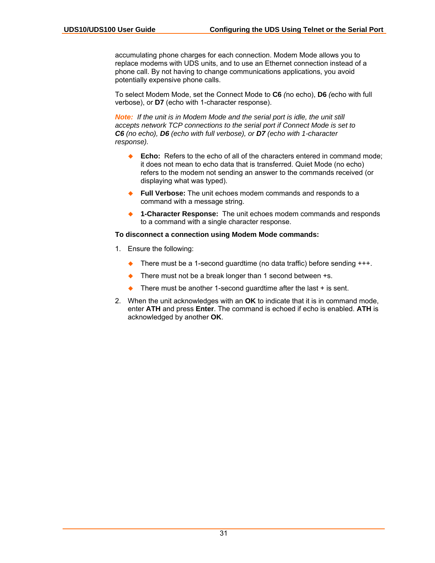accumulating phone charges for each connection. Modem Mode allows you to replace modems with UDS units, and to use an Ethernet connection instead of a phone call. By not having to change communications applications, you avoid potentially expensive phone calls.

To select Modem Mode, set the Connect Mode to **C6** *(*no echo), **D6** *(*echo with full verbose), or **D7** (echo with 1-character response).

*Note: If the unit is in Modem Mode and the serial port is idle, the unit still accepts network TCP connections to the serial port if Connect Mode is set to C6 (no echo), D6 (echo with full verbose), or D7 (echo with 1-character response).* 

- **Echo:** Refers to the echo of all of the characters entered in command mode; it does not mean to echo data that is transferred. Quiet Mode (no echo) refers to the modem not sending an answer to the commands received (or displaying what was typed).
- **Full Verbose:** The unit echoes modem commands and responds to a command with a message string.
- ◆ **1-Character Response:** The unit echoes modem commands and responds to a command with a single character response.

#### **To disconnect a connection using Modem Mode commands:**

- 1. Ensure the following:
	- ◆ There must be a 1-second guardtime (no data traffic) before sending +++.
	- There must not be a break longer than 1 second between +s.
	- $\triangle$  There must be another 1-second guardtime after the last  $+$  is sent.
- 2. When the unit acknowledges with an **OK** to indicate that it is in command mode, enter **ATH** and press **Enter**. The command is echoed if echo is enabled. **ATH** is acknowledged by another **OK**.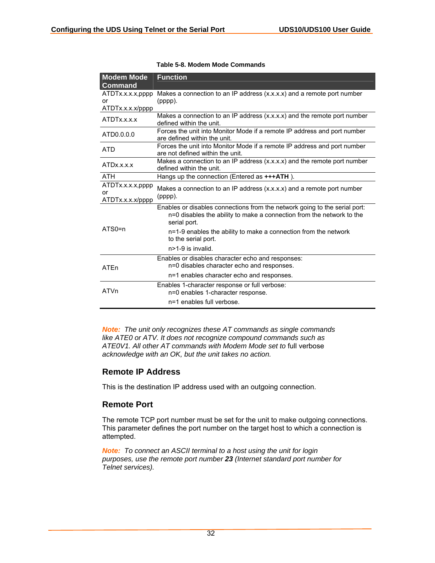| <b>Modem Mode</b>                          | <b>Function</b>                                                                                                                                                     |
|--------------------------------------------|---------------------------------------------------------------------------------------------------------------------------------------------------------------------|
| <b>Command</b>                             |                                                                                                                                                                     |
| ATDTx.x.x.x,pppp<br>or<br>ATDTx.x.x.x/pppp | Makes a connection to an IP address (x.x.x.x) and a remote port number<br>(pppp).                                                                                   |
| ATDTx.x.x.x                                | Makes a connection to an IP address (x.x.x.x) and the remote port number<br>defined within the unit.                                                                |
| ATD0.0.0.0                                 | Forces the unit into Monitor Mode if a remote IP address and port number<br>are defined within the unit.                                                            |
| <b>ATD</b>                                 | Forces the unit into Monitor Mode if a remote IP address and port number<br>are not defined within the unit.                                                        |
| ATDx.x.x.x                                 | Makes a connection to an IP address (x.x.x.x) and the remote port number<br>defined within the unit.                                                                |
| <b>ATH</b>                                 | Hangs up the connection (Entered as +++ATH).                                                                                                                        |
| ATDTx.x.x.x,pppp<br>or<br>ATDTx.x.x.x/pppp | Makes a connection to an IP address (x.x.x.x) and a remote port number<br>(pppp).                                                                                   |
|                                            | Enables or disables connections from the network going to the serial port:<br>n=0 disables the ability to make a connection from the network to the<br>serial port. |
| $ATSO=n$                                   | n=1-9 enables the ability to make a connection from the network<br>to the serial port.                                                                              |
|                                            | $n > 1-9$ is invalid.                                                                                                                                               |
| <b>ATFn</b>                                | Enables or disables character echo and responses:<br>n=0 disables character echo and responses.                                                                     |
|                                            | n=1 enables character echo and responses.                                                                                                                           |
| ATVn                                       | Enables 1-character response or full verbose:<br>n=0 enables 1-character response.                                                                                  |
|                                            | n=1 enables full verbose.                                                                                                                                           |

<span id="page-31-2"></span>

|  |  | Table 5-8. Modem Mode Commands |
|--|--|--------------------------------|
|  |  |                                |

*Note: The unit only recognizes these AT commands as single commands like ATE0 or ATV. It does not recognize compound commands such as ATE0V1. All other AT commands with Modem Mode set to* full verbose *acknowledge with an OK, but the unit takes no action.* 

# <span id="page-31-0"></span>**Remote IP Address**

This is the destination IP address used with an outgoing connection.

# <span id="page-31-1"></span>**Remote Port**

The remote TCP port number must be set for the unit to make outgoing connections. This parameter defines the port number on the target host to which a connection is attempted.

*Note: To connect an ASCII terminal to a host using the unit for login purposes, use the remote port number 23 (Internet standard port number for Telnet services).*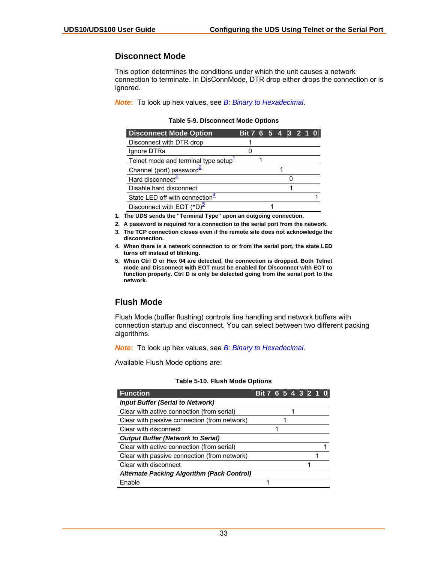## <span id="page-32-0"></span>**Disconnect Mode**

This option determines the conditions under which the unit causes a network connection to terminate. In DisConnMode, DTR drop either drops the connection or is ignored.

*Note***:** To look up hex values, see *[B: Binary to Hexadecimal](#page-58-0)*.

<span id="page-32-2"></span>**Table 5-9. Disconnect Mode Options** 

| <b>Disconnect Mode Option</b>         | Bit 7 6 5 4 3 2 1 0 |  |  |  |  |
|---------------------------------------|---------------------|--|--|--|--|
| Disconnect with DTR drop              |                     |  |  |  |  |
| Ignore DTRa                           |                     |  |  |  |  |
| Telnet mode and terminal type setup-  |                     |  |  |  |  |
| Channel (port) password <sup>≤</sup>  |                     |  |  |  |  |
| Hard disconnect <sup>3</sup>          |                     |  |  |  |  |
| Disable hard disconnect               |                     |  |  |  |  |
| State LED off with connection $4$     |                     |  |  |  |  |
| Disconnect with EOT (^D) <sup>5</sup> |                     |  |  |  |  |

<span id="page-32-4"></span>**1. The UDS sends the "Terminal Type" upon an outgoing connection.** 

- <span id="page-32-5"></span>**2. A password is required for a connection to the serial port from the network.**
- <span id="page-32-6"></span>**3. The TCP connection closes even if the remote site does not acknowledge the disconnection.**
- <span id="page-32-7"></span>**4. When there is a network connection to or from the serial port, the state LED turns off instead of blinking.**
- <span id="page-32-8"></span>**5. When Ctrl D or Hex 04 are detected, the connection is dropped. Both Telnet mode and Disconnect with EOT must be enabled for Disconnect with EOT to function properly. Ctrl D is only be detected going from the serial port to the network.**

# <span id="page-32-1"></span>**Flush Mode**

Flush Mode (buffer flushing) controls line handling and network buffers with connection startup and disconnect. You can select between two different packing algorithms.

*Note***:** To look up hex values, see *[B: Binary to Hexadecimal](#page-58-0)*.

Available Flush Mode options are:

| <b>Function</b>                                   | Bit 7 6 5 4 3 2 1 0 |  |  |  |  |
|---------------------------------------------------|---------------------|--|--|--|--|
| <b>Input Buffer (Serial to Network)</b>           |                     |  |  |  |  |
| Clear with active connection (from serial)        |                     |  |  |  |  |
| Clear with passive connection (from network)      |                     |  |  |  |  |
| Clear with disconnect                             |                     |  |  |  |  |
| <b>Output Buffer (Network to Serial)</b>          |                     |  |  |  |  |
| Clear with active connection (from serial)        |                     |  |  |  |  |
| Clear with passive connection (from network)      |                     |  |  |  |  |
| Clear with disconnect                             |                     |  |  |  |  |
| <b>Alternate Packing Algorithm (Pack Control)</b> |                     |  |  |  |  |
| Enable                                            |                     |  |  |  |  |

#### <span id="page-32-3"></span>**Table 5-10. Flush Mode Options**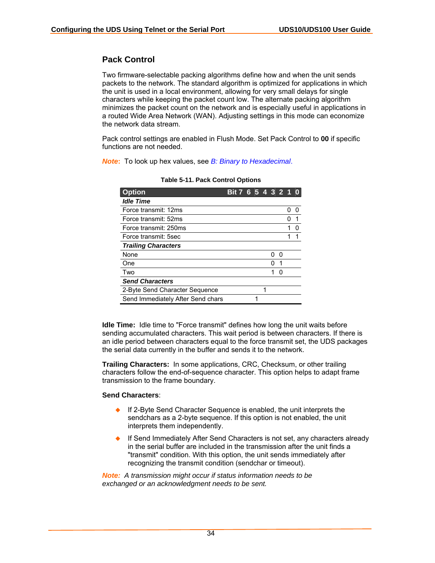# <span id="page-33-0"></span>**Pack Control**

Two firmware-selectable packing algorithms define how and when the unit sends packets to the network. The standard algorithm is optimized for applications in which the unit is used in a local environment, allowing for very small delays for single characters while keeping the packet count low. The alternate packing algorithm minimizes the packet count on the network and is especially useful in applications in a routed Wide Area Network (WAN). Adjusting settings in this mode can economize the network data stream.

Pack control settings are enabled in Flush Mode. Set Pack Control to **00** if specific functions are not needed.

*Note***:** To look up hex values, see *[B: Binary to Hexadecimal](#page-58-0)*.

| <b>Option</b>                     | <b>Bit 7</b> | 6 | 54 |   | $\bullet$ |  |
|-----------------------------------|--------------|---|----|---|-----------|--|
| <b>Idle Time</b>                  |              |   |    |   |           |  |
| Force transmit: 12ms              |              |   |    |   |           |  |
| Force transmit: 52ms              |              |   |    |   |           |  |
| Force transmit: 250ms             |              |   |    |   |           |  |
| Force transmit: 5sec              |              |   |    |   |           |  |
| <b>Trailing Characters</b>        |              |   |    |   |           |  |
| None                              |              |   |    |   | O         |  |
| One                               |              |   |    |   | 1         |  |
| Two                               |              |   |    |   | U         |  |
| <b>Send Characters</b>            |              |   |    |   |           |  |
| 2-Byte Send Character Sequence    |              |   |    | 1 |           |  |
| Send Immediately After Send chars |              |   |    |   |           |  |

<span id="page-33-1"></span>**Table 5-11. Pack Control Options** 

**Idle Time:** Idle time to "Force transmit" defines how long the unit waits before sending accumulated characters. This wait period is between characters. If there is an idle period between characters equal to the force transmit set, the UDS packages the serial data currently in the buffer and sends it to the network.

**Trailing Characters:** In some applications, CRC, Checksum, or other trailing characters follow the end-of-sequence character. This option helps to adapt frame transmission to the frame boundary.

#### **Send Characters**:

- If 2-Byte Send Character Sequence is enabled, the unit interprets the sendchars as a 2-byte sequence. If this option is not enabled, the unit interprets them independently.
- If Send Immediately After Send Characters is not set, any characters already in the serial buffer are included in the transmission after the unit finds a "transmit" condition. With this option, the unit sends immediately after recognizing the transmit condition (sendchar or timeout).

*Note: A transmission might occur if status information needs to be exchanged or an acknowledgment needs to be sent.*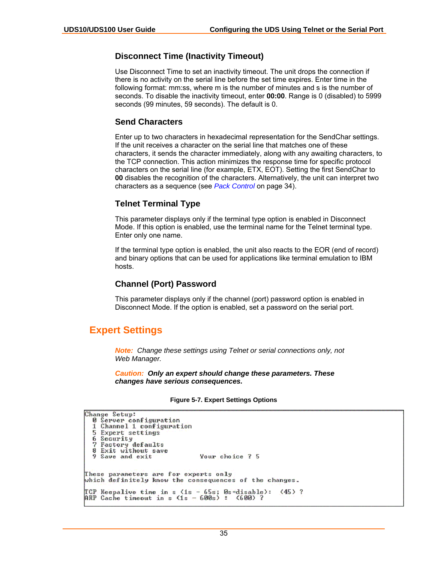## <span id="page-34-0"></span>**Disconnect Time (Inactivity Timeout)**

Use Disconnect Time to set an inactivity timeout. The unit drops the connection if there is no activity on the serial line before the set time expires. Enter time in the following format: mm:ss, where m is the number of minutes and s is the number of seconds. To disable the inactivity timeout, enter **00:00**. Range is 0 (disabled) to 5999 seconds (99 minutes, 59 seconds). The default is 0.

#### <span id="page-34-1"></span>**Send Characters**

Enter up to two characters in hexadecimal representation for the SendChar settings. If the unit receives a character on the serial line that matches one of these characters, it sends the character immediately, along with any awaiting characters, to the TCP connection. This action minimizes the response time for specific protocol characters on the serial line (for example, ETX, EOT). Setting the first SendChar to **00** disables the recognition of the characters. Alternatively, the unit can interpret two characters as a sequence (see *[Pack Control](#page-33-0)* on page [34\)](#page-33-0).

### <span id="page-34-2"></span>**Telnet Terminal Type**

This parameter displays only if the terminal type option is enabled in Disconnect Mode. If this option is enabled, use the terminal name for the Telnet terminal type. Enter only one name.

If the terminal type option is enabled, the unit also reacts to the EOR (end of record) and binary options that can be used for applications like terminal emulation to IBM hosts.

### <span id="page-34-3"></span>**Channel (Port) Password**

This parameter displays only if the channel (port) password option is enabled in Disconnect Mode. If the option is enabled, set a password on the serial port.

# <span id="page-34-4"></span>**Expert Settings**

*Note: Change these settings using Telnet or serial connections only, not Web Manager.* 

*Caution: Only an expert should change these parameters. These changes have serious consequences.* 

#### <span id="page-34-5"></span>**Figure 5-7. Expert Settings Options**

```
Change Setup:
  0 Server configuration
  1 Channel 1 configuration
  5 Expert settings
  6 Security
  7 Factory defaults
    Exit without save
  9 Save and exit
                                  Your choice ? 5
These parameters are for experts only
which definitely know the consequences of the changes.
TCP Keepalive time in s (1s - 65s; Øs=disable):<br>ARP Cache timeout in s (1s - 600s) : (600) ?
                                                          (45) ?
```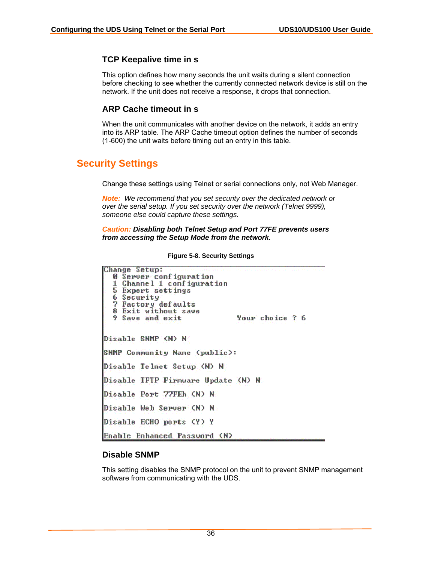# <span id="page-35-0"></span>**TCP Keepalive time in s**

This option defines how many seconds the unit waits during a silent connection before checking to see whether the currently connected network device is still on the network. If the unit does not receive a response, it drops that connection.

### <span id="page-35-1"></span>**ARP Cache timeout in s**

When the unit communicates with another device on the network, it adds an entry into its ARP table. The ARP Cache timeout option defines the number of seconds (1-600) the unit waits before timing out an entry in this table.

# <span id="page-35-2"></span>**Security Settings**

Change these settings using Telnet or serial connections only, not Web Manager.

*Note: We recommend that you set security over the dedicated network or over the serial setup. If you set security over the network (Telnet 9999), someone else could capture these settings.* 

#### *Caution: Disabling both Telnet Setup and Port 77FE prevents users from accessing the Setup Mode from the network.*

| Change Setup:                      |                 |
|------------------------------------|-----------------|
| <b>0 Server configuration</b>      |                 |
| 1 Channel 1 configuration          |                 |
| 5 Expert settings                  |                 |
| 6 Security                         |                 |
| 7 Factory defaults                 |                 |
|                                    |                 |
| 8 Exit without save                |                 |
| 9 Save and exit                    | Your choice ? 6 |
|                                    |                 |
| Disable SNMP (N) N                 |                 |
|                                    |                 |
| SNMP Community Name (public):      |                 |
|                                    |                 |
| Disable Telnet Setup (N) N         |                 |
|                                    |                 |
| Disable IFTP Firmware Update (N) N |                 |
|                                    |                 |
| Disable Port 77FEh (N) N           |                 |
|                                    |                 |
| Disable Web Server (N) N           |                 |
|                                    |                 |
| Disable ECHO ports (Y) Y           |                 |
| Enable Enhanced Password (N)       |                 |
|                                    |                 |

<span id="page-35-4"></span>**Figure 5-8. Security Settings** 

### <span id="page-35-3"></span>**Disable SNMP**

This setting disables the SNMP protocol on the unit to prevent SNMP management software from communicating with the UDS.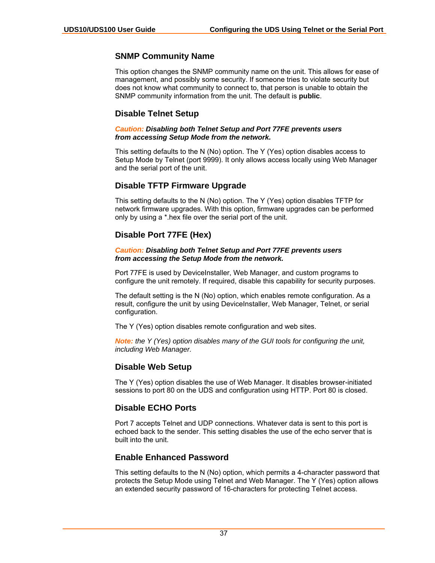#### **SNMP Community Name**

This option changes the SNMP community name on the unit. This allows for ease of management, and possibly some security. If someone tries to violate security but does not know what community to connect to, that person is unable to obtain the SNMP community information from the unit. The default is **public**.

#### **Disable Telnet Setup**

*Caution: Disabling both Telnet Setup and Port 77FE prevents users from accessing Setup Mode from the network.* 

This setting defaults to the N (No) option. The Y (Yes) option disables access to Setup Mode by Telnet (port 9999). It only allows access locally using Web Manager and the serial port of the unit.

#### **Disable TFTP Firmware Upgrade**

This setting defaults to the N (No) option. The Y (Yes) option disables TFTP for network firmware upgrades. With this option, firmware upgrades can be performed only by using a \*.hex file over the serial port of the unit.

#### **Disable Port 77FE (Hex)**

#### *Caution: Disabling both Telnet Setup and Port 77FE prevents users from accessing the Setup Mode from the network.*

Port 77FE is used by DeviceInstaller, Web Manager, and custom programs to configure the unit remotely. If required, disable this capability for security purposes.

The default setting is the N (No) option, which enables remote configuration. As a result, configure the unit by using DeviceInstaller, Web Manager, Telnet, or serial configuration.

The Y (Yes) option disables remote configuration and web sites.

*Note: the Y (Yes) option disables many of the GUI tools for configuring the unit, including Web Manager.* 

#### **Disable Web Setup**

The Y (Yes) option disables the use of Web Manager. It disables browser-initiated sessions to port 80 on the UDS and configuration using HTTP. Port 80 is closed.

### **Disable ECHO Ports**

Port 7 accepts Telnet and UDP connections. Whatever data is sent to this port is echoed back to the sender. This setting disables the use of the echo server that is built into the unit.

### **Enable Enhanced Password**

This setting defaults to the N (No) option, which permits a 4-character password that protects the Setup Mode using Telnet and Web Manager. The Y (Yes) option allows an extended security password of 16-characters for protecting Telnet access.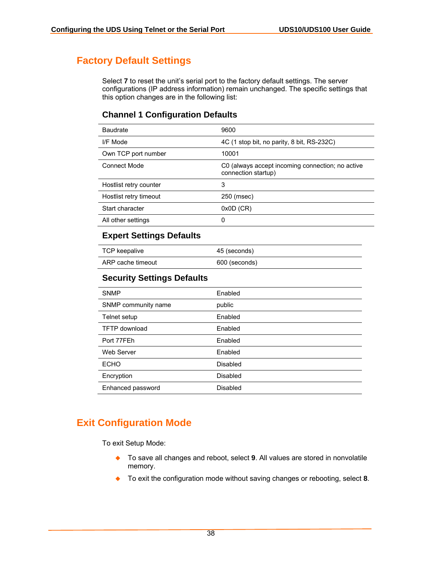## **Factory Default Settings**

Select **7** to reset the unit's serial port to the factory default settings. The server configurations (IP address information) remain unchanged. The specific settings that this option changes are in the following list:

### **Channel 1 Configuration Defaults**

| <b>Baudrate</b>        | 9600                                                                    |
|------------------------|-------------------------------------------------------------------------|
| I/F Mode               | 4C (1 stop bit, no parity, 8 bit, RS-232C)                              |
| Own TCP port number    | 10001                                                                   |
| Connect Mode           | C0 (always accept incoming connection; no active<br>connection startup) |
| Hostlist retry counter | 3                                                                       |
| Hostlist retry timeout | 250 (msec)                                                              |
| Start character        | $0x0D$ (CR)                                                             |
| All other settings     | 0                                                                       |

#### **Expert Settings Defaults**

| TCP keepalive     | 45 (seconds)  |
|-------------------|---------------|
| ARP cache timeout | 600 (seconds) |

### **Security Settings Defaults**

| <b>SNMP</b>          | Enabled         |
|----------------------|-----------------|
| SNMP community name  | public          |
| Telnet setup         | Enabled         |
| <b>TFTP</b> download | Enabled         |
| Port 77FEh           | Enabled         |
| <b>Web Server</b>    | Enabled         |
| <b>ECHO</b>          | Disabled        |
| Encryption           | <b>Disabled</b> |
| Enhanced password    | Disabled        |

## **Exit Configuration Mode**

To exit Setup Mode:

- To save all changes and reboot, select **9**. All values are stored in nonvolatile memory.
- ◆ To exit the configuration mode without saving changes or rebooting, select **8**.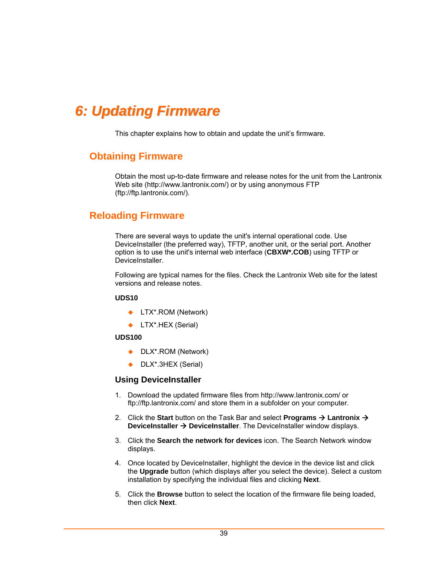# *6: Updating Firmware*

This chapter explains how to obtain and update the unit's firmware.

## **Obtaining Firmware**

Obtain the most up-to-date firmware and release notes for the unit from the Lantronix Web site ([http://www.lantronix.com/\)](http://www.lantronix.com/) or by using anonymous FTP [\(ftp://ftp.lantronix.com/\)](ftp://ftp.lantronix.com/).

## **Reloading Firmware**

There are several ways to update the unit's internal operational code. Use DeviceInstaller (the preferred way), TFTP, another unit, or the serial port. Another option is to use the unit's internal web interface (**CBXW\*.COB**) using TFTP or DeviceInstaller.

Following are typical names for the files. Check the Lantronix Web site for the latest versions and release notes.

#### **UDS10**

- ◆ LTX\*.ROM (Network)
- ◆ LTX<sup>\*</sup>.HEX (Serial)

#### **UDS100**

- ◆ DLX\*.ROM (Network)
- ◆ DLX<sup>\*</sup>.3HEX (Serial)

#### **Using DeviceInstaller**

- 1. Download the updated firmware files from<http://www.lantronix.com/>or <ftp://ftp.lantronix.com/>and store them in a subfolder on your computer.
- 2. Click the Start button on the Task Bar and select **Programs → Lantronix → DeviceInstaller → DeviceInstaller**. The DeviceInstaller window displays.
- 3. Click the **Search the network for devices** icon. The Search Network window displays.
- 4. Once located by DeviceInstaller, highlight the device in the device list and click the **Upgrade** button (which displays after you select the device). Select a custom installation by specifying the individual files and clicking **Next**.
- 5. Click the **Browse** button to select the location of the firmware file being loaded, then click **Next**.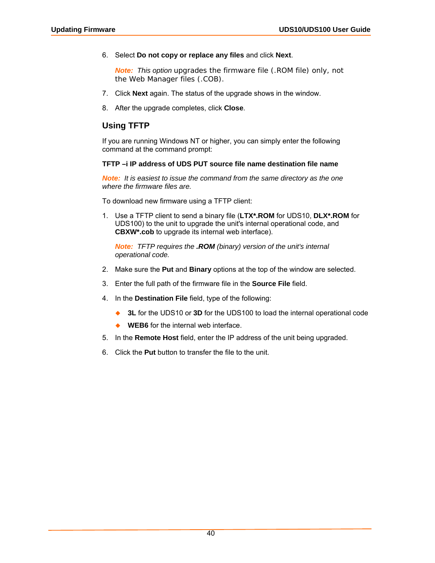6. Select **Do not copy or replace any files** and click **Next**.

*Note: This option upgrades the firmware file (.ROM file) only, not the Web Manager files (.COB).*

- 7. Click **Next** again. The status of the upgrade shows in the window.
- 8. After the upgrade completes, click **Close**.

### **Using TFTP**

If you are running Windows NT or higher, you can simply enter the following command at the command prompt:

#### **TFTP –i IP address of UDS PUT source file name destination file name**

*Note: It is easiest to issue the command from the same directory as the one where the firmware files are.* 

To download new firmware using a TFTP client:

1. Use a TFTP client to send a binary file (**LTX\*.ROM** for UDS10, **DLX\*.ROM** for UDS100) to the unit to upgrade the unit's internal operational code, and **CBXW\*.cob** to upgrade its internal web interface).

*Note: TFTP requires the .ROM (binary) version of the unit's internal operational code.* 

- 2. Make sure the **Put** and **Binary** options at the top of the window are selected.
- 3. Enter the full path of the firmware file in the **Source File** field.
- 4. In the **Destination File** field, type of the following:
	- ◆ **3L** for the UDS10 or **3D** for the UDS100 to load the internal operational code
	- **WEB6** for the internal web interface.
- 5. In the **Remote Host** field, enter the IP address of the unit being upgraded.
- 6. Click the **Put** button to transfer the file to the unit.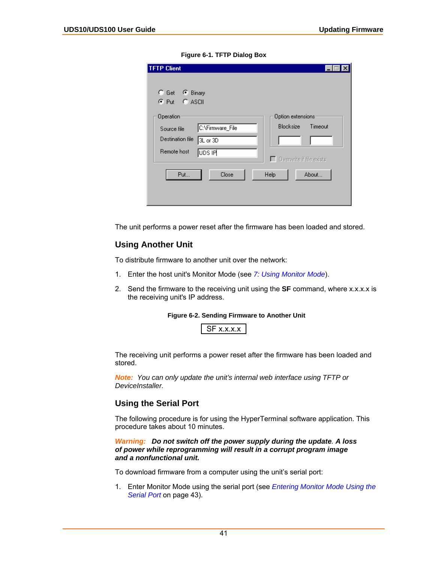| <b>TFTP</b> Client                         |                  |                                 |         |
|--------------------------------------------|------------------|---------------------------------|---------|
| G Get <sup>6</sup> Binary<br>C Put C ASCII |                  |                                 |         |
| Operation                                  |                  | Option extensions               |         |
| Source file                                | C:\Firmware_File | <b>Blocksize</b>                | Timeout |
| Destination file                           | 3L or 3D         |                                 |         |
| Remote host                                | UDS IP           | $\Box$ Overwrite if file exists |         |
| Put                                        | Close            | Help                            | About   |
|                                            |                  |                                 |         |

**Figure 6-1. TFTP Dialog Box** 

The unit performs a power reset after the firmware has been loaded and stored.

#### **Using Another Unit**

To distribute firmware to another unit over the network:

- 1. Enter the host unit's Monitor Mode (see *[7: Using Monitor Mode](#page-42-0)*).
- 2. Send the firmware to the receiving unit using the **SF** command, where x.x.x.x is the receiving unit's IP address.

#### **Figure 6-2. Sending Firmware to Another Unit**

The receiving unit performs a power reset after the firmware has been loaded and stored.

*Note: You can only update the unit's internal web interface using TFTP or DeviceInstaller.* 

### **Using the Serial Port**

The following procedure is for using the HyperTerminal software application. This procedure takes about 10 minutes.

#### *Warning: Do not switch off the power supply during the update. A loss of power while reprogramming will result in a corrupt program image and a nonfunctional unit.*

To download firmware from a computer using the unit's serial port:

1. Enter Monitor Mode using the serial port (see *[Entering Monitor Mode Using the](#page-42-1)  [Serial Port](#page-42-1)* on page [43\)](#page-42-1).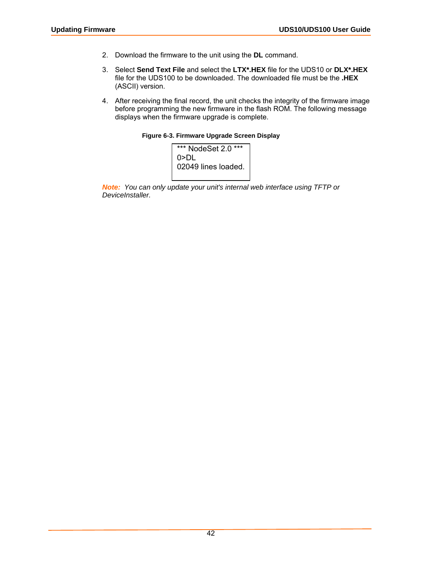- 2. Download the firmware to the unit using the **DL** command.
- 3. Select **Send Text File** and select the **LTX\*.HEX** file for the UDS10 or **DLX\*.HEX** file for the UDS100 to be downloaded. The downloaded file must be the **.HEX** (ASCII) version.
- 4. After receiving the final record, the unit checks the integrity of the firmware image before programming the new firmware in the flash ROM. The following message displays when the firmware upgrade is complete.





*Note: You can only update your unit's internal web interface using TFTP or DeviceInstaller.*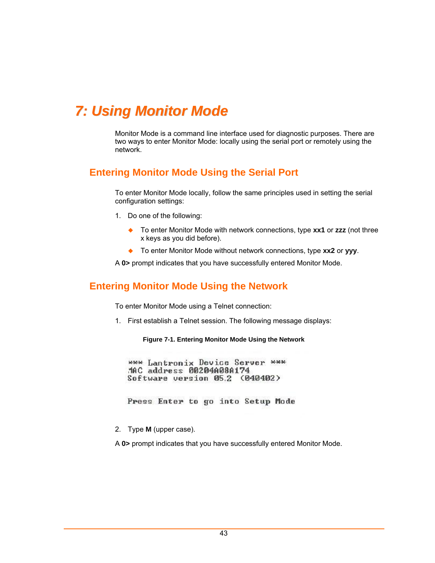# <span id="page-42-0"></span>*7: Using Monitor Mode*

Monitor Mode is a command line interface used for diagnostic purposes. There are two ways to enter Monitor Mode: locally using the serial port or remotely using the network.

## <span id="page-42-1"></span>**Entering Monitor Mode Using the Serial Port**

To enter Monitor Mode locally, follow the same principles used in setting the serial configuration settings:

- 1. Do one of the following:
	- To enter Monitor Mode with network connections, type **xx1** or **zzz** (not three x keys as you did before).
	- To enter Monitor Mode without network connections, type **xx2** or **yyy**.

A **0>** prompt indicates that you have successfully entered Monitor Mode.

## **Entering Monitor Mode Using the Network**

To enter Monitor Mode using a Telnet connection:

1. First establish a Telnet session. The following message displays:

**Figure 7-1. Entering Monitor Mode Using the Network** 

\*\*\* Lantronix Device Server \*\*\* MAC address 00204A08A174 Software version 05.2 (040402)

Press Enter to go into Setup Mode

2. Type **M** (upper case).

A **0>** prompt indicates that you have successfully entered Monitor Mode.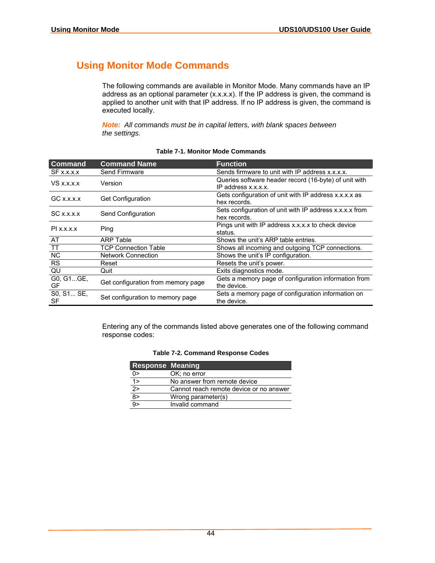## **Using Monitor Mode Commands**

The following commands are available in Monitor Mode. Many commands have an IP address as an optional parameter (x.x.x.x). If the IP address is given, the command is applied to another unit with that IP address. If no IP address is given, the command is executed locally.

*Note: All commands must be in capital letters, with blank spaces between the settings.* 

| <b>Command</b>   | <b>Command Name</b>                | <b>Function</b>                                                              |
|------------------|------------------------------------|------------------------------------------------------------------------------|
| $SF$ x.x.x.x     | <b>Send Firmware</b>               | Sends firmware to unit with IP address x.x.x.x.                              |
| $VS$ x.x.x.x     | Version                            | Queries software header record (16-byte) of unit with<br>IP address x.x.x.x. |
| $GC$ x.x.x. $x$  | <b>Get Configuration</b>           | Gets configuration of unit with IP address x.x.x.x as<br>hex records.        |
| $SC$ x.x.x. $x$  | Send Configuration                 | Sets configuration of unit with IP address x.x.x.x from<br>hex records.      |
| $PI$ x.x.x.x     | Ping                               | Pings unit with IP address x.x.x.x to check device<br>status.                |
| AT               | <b>ARP Table</b>                   | Shows the unit's ARP table entries.                                          |
| <b>TT</b>        | <b>TCP Connection Table</b>        | Shows all incoming and outgoing TCP connections.                             |
| NC               | <b>Network Connection</b>          | Shows the unit's IP configuration.                                           |
| <b>RS</b>        | Reset                              | Resets the unit's power.                                                     |
| QU               | Quit                               | Exits diagnostics mode.                                                      |
| G0, G1GE,<br>GF  | Get configuration from memory page | Gets a memory page of configuration information from<br>the device.          |
| S0, S1 SE,<br>SF | Set configuration to memory page   | Sets a memory page of configuration information on<br>the device.            |

#### **Table 7-1. Monitor Mode Commands**

Entering any of the commands listed above generates one of the following command response codes:

| Table 7-2. Command Response Codes |  |
|-----------------------------------|--|
|-----------------------------------|--|

| <b>Response Meaning</b> |                                         |
|-------------------------|-----------------------------------------|
| $0\geq$                 | OK; no error                            |
| $\frac{1}{2}$           | No answer from remote device            |
|                         | Cannot reach remote device or no answer |
| $\frac{1}{\sqrt{8}}$    | Wrong parameter(s)                      |
|                         | Invalid command                         |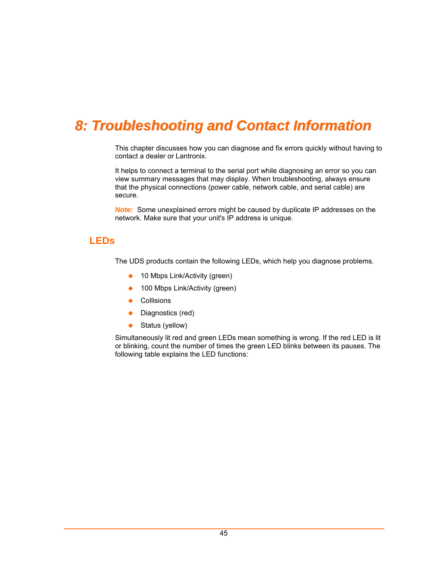# *8: Troubleshooting and Contact Information*

This chapter discusses how you can diagnose and fix errors quickly without having to contact a dealer or Lantronix.

It helps to connect a terminal to the serial port while diagnosing an error so you can view summary messages that may display. When troubleshooting, always ensure that the physical connections (power cable, network cable, and serial cable) are secure.

*Note:*Some unexplained errors might be caused by duplicate IP addresses on the network. Make sure that your unit's IP address is unique.

## **LEDs**

The UDS products contain the following LEDs, which help you diagnose problems.

- ◆ 10 Mbps Link/Activity (green)
- 100 Mbps Link/Activity (green)
- Collisions
- ◆ Diagnostics (red)
- ◆ Status (yellow)

Simultaneously lit red and green LEDs mean something is wrong. If the red LED is lit or blinking, count the number of times the green LED blinks between its pauses. The following table explains the LED functions: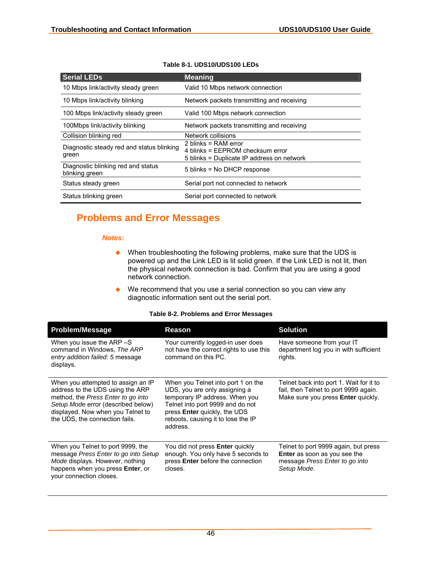| <b>Serial LEDs</b>                                   | <b>Meaning</b>                                                                                           |
|------------------------------------------------------|----------------------------------------------------------------------------------------------------------|
| 10 Mbps link/activity steady green                   | Valid 10 Mbps network connection                                                                         |
| 10 Mbps link/activity blinking                       | Network packets transmitting and receiving                                                               |
| 100 Mbps link/activity steady green                  | Valid 100 Mbps network connection                                                                        |
| 100Mbps link/activity blinking                       | Network packets transmitting and receiving                                                               |
| Collision blinking red                               | Network collisions                                                                                       |
| Diagnostic steady red and status blinking<br>green   | 2 blinks = $RAM error$<br>4 blinks = EEPROM checksum error<br>5 blinks = Duplicate IP address on network |
| Diagnostic blinking red and status<br>blinking green | 5 blinks = No DHCP response                                                                              |
| Status steady green                                  | Serial port not connected to network                                                                     |
| Status blinking green                                | Serial port connected to network                                                                         |

#### **Table 8-1. UDS10/UDS100 LEDs**

## **Problems and Error Messages**

#### *Notes:*

- ◆ When troubleshooting the following problems, make sure that the UDS is powered up and the Link LED is lit solid green. If the Link LED is not lit, then the physical network connection is bad. Confirm that you are using a good network connection.
- ◆ We recommend that you use a serial connection so you can view any diagnostic information sent out the serial port.

#### **Table 8-2. Problems and Error Messages**

| <b>Problem/Message</b>                                                                                                                                                                                                    | Reason                                                                                                                                                                                                                             | <b>Solution</b>                                                                                                               |
|---------------------------------------------------------------------------------------------------------------------------------------------------------------------------------------------------------------------------|------------------------------------------------------------------------------------------------------------------------------------------------------------------------------------------------------------------------------------|-------------------------------------------------------------------------------------------------------------------------------|
| When you issue the ARP -S<br>command in Windows, The ARP<br>entry addition failed: 5 message<br>displays.                                                                                                                 | Your currently logged-in user does<br>not have the correct rights to use this<br>command on this PC.                                                                                                                               | Have someone from your IT<br>department log you in with sufficient<br>rights.                                                 |
| When you attempted to assign an IP<br>address to the UDS using the ARP<br>method, the Press Enter to go into<br>Setup Mode error (described below)<br>displayed. Now when you Telnet to<br>the UDS, the connection fails. | When you Telnet into port 1 on the<br>UDS, you are only assigning a<br>temporary IP address. When you<br>Telnet into port 9999 and do not<br>press <b>Enter</b> quickly, the UDS<br>reboots, causing it to lose the IP<br>address. | Telnet back into port 1. Wait for it to<br>fail, then Telnet to port 9999 again.<br>Make sure you press <b>Enter</b> quickly. |
| When you Telnet to port 9999, the<br>message Press Enter to go into Setup<br>Mode displays. However, nothing<br>happens when you press Enter, or<br>your connection closes.                                               | You did not press <b>Enter</b> quickly<br>enough. You only have 5 seconds to<br>press Enter before the connection<br>closes.                                                                                                       | Telnet to port 9999 again, but press<br><b>Enter</b> as soon as you see the<br>message Press Enter to go into<br>Setup Mode.  |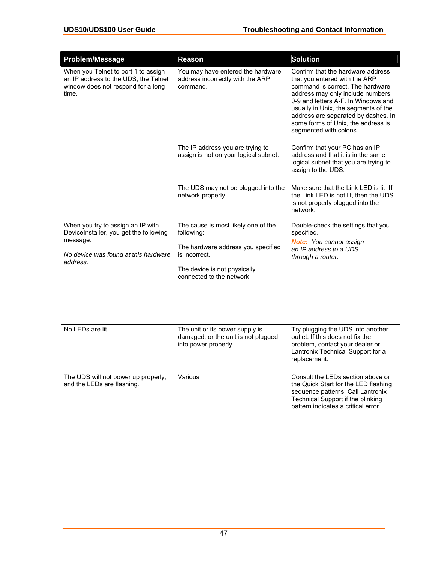| <b>Problem/Message</b>                                                                                                     | <b>Reason</b>                                                                                  | <b>Solution</b>                                                                                                                                                                                                                                                                                                                  |
|----------------------------------------------------------------------------------------------------------------------------|------------------------------------------------------------------------------------------------|----------------------------------------------------------------------------------------------------------------------------------------------------------------------------------------------------------------------------------------------------------------------------------------------------------------------------------|
| When you Telnet to port 1 to assign<br>an IP address to the UDS, the Telnet<br>window does not respond for a long<br>time. | You may have entered the hardware<br>address incorrectly with the ARP<br>command.              | Confirm that the hardware address<br>that you entered with the ARP<br>command is correct. The hardware<br>address may only include numbers<br>0-9 and letters A-F. In Windows and<br>usually in Unix, the segments of the<br>address are separated by dashes. In<br>some forms of Unix, the address is<br>segmented with colons. |
|                                                                                                                            | The IP address you are trying to<br>assign is not on your logical subnet.                      | Confirm that your PC has an IP<br>address and that it is in the same<br>logical subnet that you are trying to<br>assign to the UDS.                                                                                                                                                                                              |
|                                                                                                                            | The UDS may not be plugged into the<br>network properly.                                       | Make sure that the Link LED is lit. If<br>the Link LED is not lit, then the UDS<br>is not properly plugged into the<br>network.                                                                                                                                                                                                  |
| When you try to assign an IP with<br>DeviceInstaller, you get the following                                                | The cause is most likely one of the<br>following:                                              | Double-check the settings that you<br>specified.                                                                                                                                                                                                                                                                                 |
| message:<br>No device was found at this hardware                                                                           | The hardware address you specified<br>is incorrect.                                            | <b>Note:</b> You cannot assign<br>an IP address to a UDS<br>through a router.                                                                                                                                                                                                                                                    |
| address.                                                                                                                   | The device is not physically<br>connected to the network.                                      |                                                                                                                                                                                                                                                                                                                                  |
|                                                                                                                            |                                                                                                |                                                                                                                                                                                                                                                                                                                                  |
| No LEDs are lit.                                                                                                           | The unit or its power supply is<br>damaged, or the unit is not plugged<br>into power properly. | Try plugging the UDS into another<br>outlet. If this does not fix the<br>problem, contact your dealer or<br>Lantronix Technical Support for a<br>replacement.                                                                                                                                                                    |
| The UDS will not power up properly,<br>and the LEDs are flashing.                                                          | Various                                                                                        | Consult the LEDs section above or<br>the Quick Start for the LED flashing<br>sequence patterns. Call Lantronix<br>Technical Support if the blinking<br>pattern indicates a critical error.                                                                                                                                       |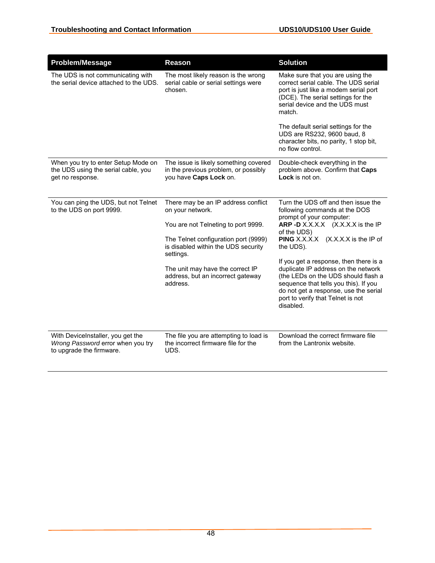| Problem/Message                                                                                    | <b>Reason</b>                                                                                                                                                                                                                                                                   | <b>Solution</b>                                                                                                                                                                                                                                                                                                                                                                                                                                                            |
|----------------------------------------------------------------------------------------------------|---------------------------------------------------------------------------------------------------------------------------------------------------------------------------------------------------------------------------------------------------------------------------------|----------------------------------------------------------------------------------------------------------------------------------------------------------------------------------------------------------------------------------------------------------------------------------------------------------------------------------------------------------------------------------------------------------------------------------------------------------------------------|
| The UDS is not communicating with<br>the serial device attached to the UDS.                        | The most likely reason is the wrong<br>serial cable or serial settings were<br>chosen.                                                                                                                                                                                          | Make sure that you are using the<br>correct serial cable. The UDS serial<br>port is just like a modem serial port<br>(DCE). The serial settings for the<br>serial device and the UDS must<br>match.                                                                                                                                                                                                                                                                        |
|                                                                                                    |                                                                                                                                                                                                                                                                                 | The default serial settings for the<br>UDS are RS232, 9600 baud, 8<br>character bits, no parity, 1 stop bit,<br>no flow control.                                                                                                                                                                                                                                                                                                                                           |
| When you try to enter Setup Mode on<br>the UDS using the serial cable, you<br>get no response.     | The issue is likely something covered<br>in the previous problem, or possibly<br>you have Caps Lock on.                                                                                                                                                                         | Double-check everything in the<br>problem above. Confirm that Caps<br>Lock is not on.                                                                                                                                                                                                                                                                                                                                                                                      |
| You can ping the UDS, but not Telnet<br>to the UDS on port 9999.                                   | There may be an IP address conflict<br>on your network.<br>You are not Telneting to port 9999.<br>The Telnet configuration port (9999)<br>is disabled within the UDS security<br>settings.<br>The unit may have the correct IP<br>address, but an incorrect gateway<br>address. | Turn the UDS off and then issue the<br>following commands at the DOS<br>prompt of your computer:<br>ARP -D X.X.X.X (X.X.X.X is the IP<br>of the UDS)<br><b>PING</b> X.X.X.X (X.X.X.X is the IP of<br>the UDS).<br>If you get a response, then there is a<br>duplicate IP address on the network<br>(the LEDs on the UDS should flash a<br>sequence that tells you this). If you<br>do not get a response, use the serial<br>port to verify that Telnet is not<br>disabled. |
| With DeviceInstaller, you get the<br>Wrong Password error when you try<br>to upgrade the firmware. | The file you are attempting to load is<br>the incorrect firmware file for the<br>UDS.                                                                                                                                                                                           | Download the correct firmware file<br>from the Lantronix website.                                                                                                                                                                                                                                                                                                                                                                                                          |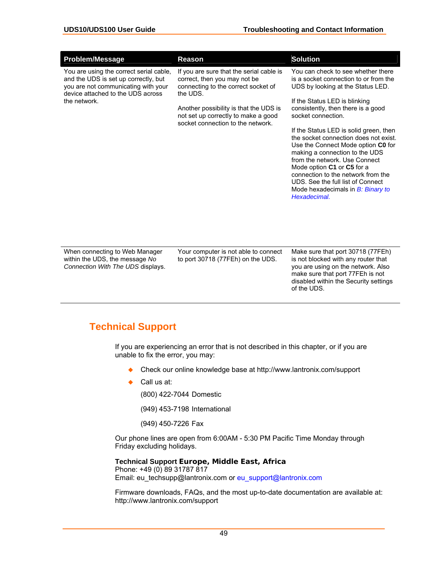| <b>Problem/Message</b>                                                                                                                                                      | <b>Reason</b>                                                                                                                                                                                                                                     | <b>Solution</b>                                                                                                                                                                                                                                                                                                                                                                                                                                                                                                                                                         |
|-----------------------------------------------------------------------------------------------------------------------------------------------------------------------------|---------------------------------------------------------------------------------------------------------------------------------------------------------------------------------------------------------------------------------------------------|-------------------------------------------------------------------------------------------------------------------------------------------------------------------------------------------------------------------------------------------------------------------------------------------------------------------------------------------------------------------------------------------------------------------------------------------------------------------------------------------------------------------------------------------------------------------------|
| You are using the correct serial cable,<br>and the UDS is set up correctly, but<br>you are not communicating with your<br>device attached to the UDS across<br>the network. | If you are sure that the serial cable is<br>correct, then you may not be<br>connecting to the correct socket of<br>the UDS.<br>Another possibility is that the UDS is<br>not set up correctly to make a good<br>socket connection to the network. | You can check to see whether there<br>is a socket connection to or from the<br>UDS by looking at the Status LED.<br>If the Status LED is blinking<br>consistently, then there is a good<br>socket connection.<br>If the Status LED is solid green, then<br>the socket connection does not exist.<br>Use the Connect Mode option C0 for<br>making a connection to the UDS<br>from the network. Use Connect<br>Mode option C1 or C5 for a<br>connection to the network from the<br>UDS. See the full list of Connect<br>Mode hexadecimals in B: Binary to<br>Hexadecimal. |
| When connecting to Web Manager<br>within the UDS the message No                                                                                                             | Your computer is not able to connect<br>to port 30718 (77FFh) on the UDS                                                                                                                                                                          | Make sure that port 30718 (77FEh)<br>is not blocked with any router that                                                                                                                                                                                                                                                                                                                                                                                                                                                                                                |

within the UDS, the message *No Connection With The UDS* displays. to port 30718 (77FEh) on the UDS.

is not blocked with any router that you are using on the network. Also make sure that port 77FEh is not disabled within the Security settings of the UDS.

## **Technical Support**

If you are experiencing an error that is not described in this chapter, or if you are unable to fix the error, you may:

- Check our online knowledge base at http://www.lantronix.com/support
- Call us at:

(800) 422-7044 Domestic

(949) 453-7198 International

(949) 450-7226 Fax

Our phone lines are open from 6:00AM - 5:30 PM Pacific Time Monday through Friday excluding holidays.

**Technical Support Europe, Middle East, Africa** Phone: +49 (0) 89 31787 817 Email: eu\_techsupp@lantronix.com or eu\_support@lantronix.com

Firmware downloads, FAQs, and the most up-to-date documentation are available at: http://www.lantronix.com/support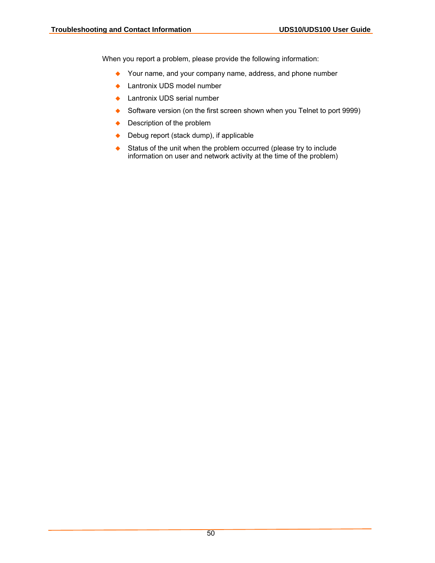When you report a problem, please provide the following information:

- Your name, and your company name, address, and phone number
- ◆ Lantronix UDS model number
- ◆ Lantronix UDS serial number
- Software version (on the first screen shown when you Telnet to port 9999)
- ◆ Description of the problem
- ◆ Debug report (stack dump), if applicable
- ◆ Status of the unit when the problem occurred (please try to include information on user and network activity at the time of the problem)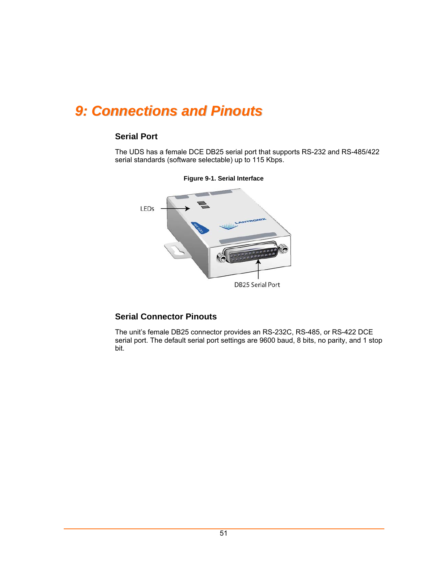# *9: Connections and Pinouts*

## **Serial Port**

The UDS has a female DCE DB25 serial port that supports RS-232 and RS-485/422 serial standards (software selectable) up to 115 Kbps.



#### **Figure 9-1. Serial Interface**

## **Serial Connector Pinouts**

The unit's female DB25 connector provides an RS-232C, RS-485, or RS-422 DCE serial port. The default serial port settings are 9600 baud, 8 bits, no parity, and 1 stop bit.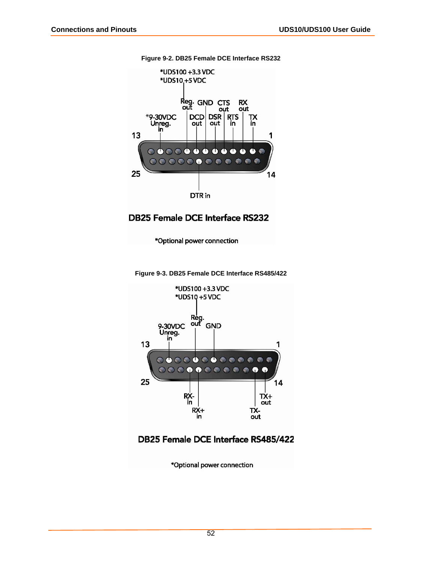

**Figure 9-2. DB25 Female DCE Interface RS232** 

## **DB25 Female DCE Interface RS232**

\*Optional power connection

**Figure 9-3. DB25 Female DCE Interface RS485/422** 



## DB25 Female DCE Interface RS485/422

\*Optional power connection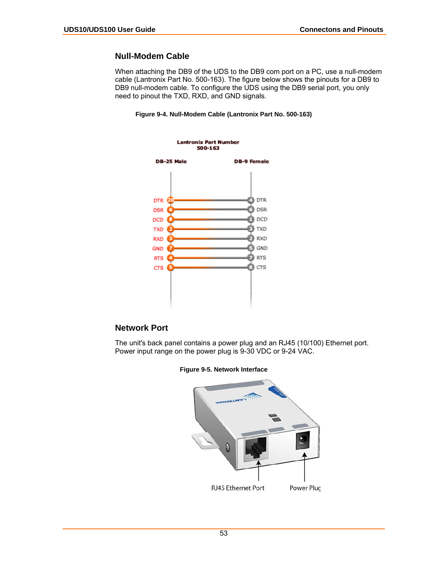### **Null-Modem Cable**

When attaching the DB9 of the UDS to the DB9 com port on a PC, use a null-modem cable (Lantronix Part No. 500-163). The figure below shows the pinouts for a DB9 to DB9 null-modem cable. To configure the UDS using the DB9 serial port, you only need to pinout the TXD, RXD, and GND signals.





### **Network Port**

The unit's back panel contains a power plug and an RJ45 (10/100) Ethernet port. Power input range on the power plug is 9-30 VDC or 9-24 VAC.



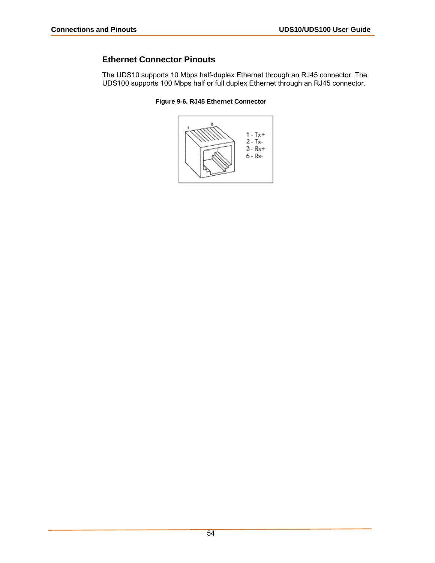## **Ethernet Connector Pinouts**

The UDS10 supports 10 Mbps half-duplex Ethernet through an RJ45 connector. The UDS100 supports 100 Mbps half or full duplex Ethernet through an RJ45 connector.



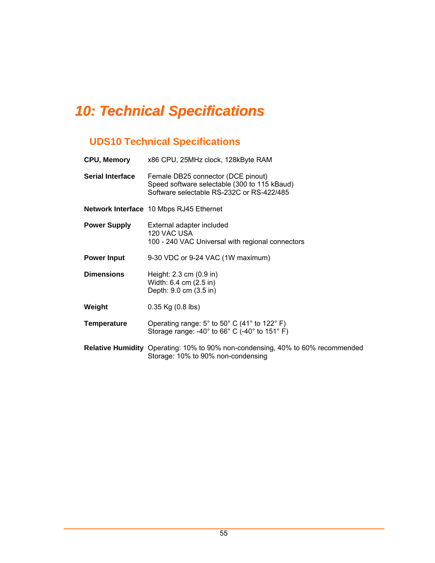# *10: Technical Specifications*

## **UDS10 Technical Specifications**

| <b>CPU, Memory</b>      | x86 CPU, 25MHz clock, 128kByte RAM                                                                                                                      |
|-------------------------|---------------------------------------------------------------------------------------------------------------------------------------------------------|
| <b>Serial Interface</b> | Female DB25 connector (DCE pinout)<br>Speed software selectable (300 to 115 kBaud)<br>Software selectable RS-232C or RS-422/485                         |
|                         | Network Interface 10 Mbps RJ45 Ethernet                                                                                                                 |
| <b>Power Supply</b>     | External adapter included<br>120 VAC USA<br>100 - 240 VAC Universal with regional connectors                                                            |
| <b>Power Input</b>      | 9-30 VDC or 9-24 VAC (1W maximum)                                                                                                                       |
| <b>Dimensions</b>       | Height: 2.3 cm (0.9 in)<br>Width: 6.4 cm (2.5 in)<br>Depth: 9.0 cm (3.5 in)                                                                             |
| Weight                  | $0.35$ Kg $(0.8$ lbs)                                                                                                                                   |
| <b>Temperature</b>      | Operating range: $5^{\circ}$ to $50^{\circ}$ C (41° to 122° F)<br>Storage range: -40 $^{\circ}$ to 66 $^{\circ}$ C (-40 $^{\circ}$ to 151 $^{\circ}$ F) |
|                         | Relative Humidity Operating: 10% to 90% non-condensing, 40% to 60% recommended<br>Storage: 10% to 90% non-condensing                                    |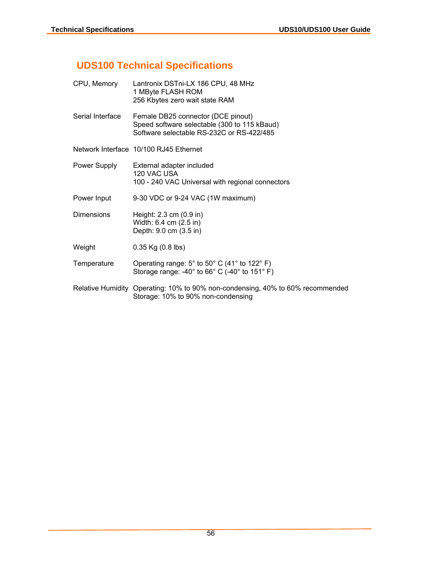## **UDS100 Technical Specifications**

| CPU, Memory       | Lantronix DSTni-LX 186 CPU, 48 MHz<br>1 MByte FLASH ROM<br>256 Kbytes zero wait state RAM                                             |
|-------------------|---------------------------------------------------------------------------------------------------------------------------------------|
| Serial Interface  | Female DB25 connector (DCE pinout)<br>Speed software selectable (300 to 115 kBaud)<br>Software selectable RS-232C or RS-422/485       |
|                   | Network Interface 10/100 RJ45 Ethernet                                                                                                |
| Power Supply      | External adapter included<br>120 VAC USA<br>100 - 240 VAC Universal with regional connectors                                          |
| Power Input       | 9-30 VDC or 9-24 VAC (1W maximum)                                                                                                     |
| <b>Dimensions</b> | Height: 2.3 cm (0.9 in)<br>Width: 6.4 cm (2.5 in)<br>Depth: 9.0 cm (3.5 in)                                                           |
| Weight            | $0.35$ Kg $(0.8$ lbs)                                                                                                                 |
| Temperature       | Operating range: 5° to 50° C (41° to 122° F)<br>Storage range: -40 $^{\circ}$ to 66 $^{\circ}$ C (-40 $^{\circ}$ to 151 $^{\circ}$ F) |
|                   | Relative Humidity Operating: 10% to 90% non-condensing, 40% to 60% recommended<br>Storage: 10% to 90% non-condensing                  |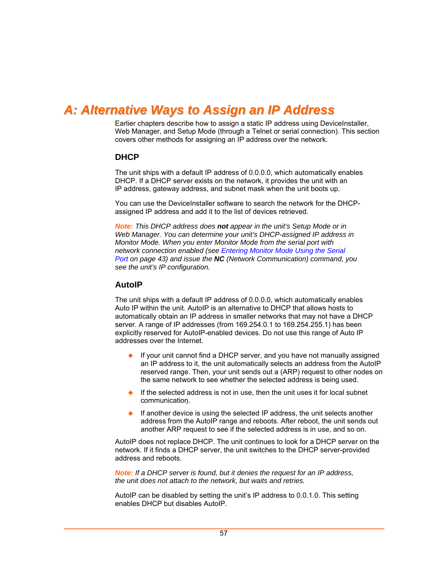## *A: Alternative Ways to Assign an IP Address*

Earlier chapters describe how to assign a static IP address using DeviceInstaller, Web Manager, and Setup Mode (through a Telnet or serial connection). This section covers other methods for assigning an IP address over the network.

#### **DHCP**

The unit ships with a default IP address of 0.0.0.0, which automatically enables DHCP. If a DHCP server exists on the network, it provides the unit with an IP address, gateway address, and subnet mask when the unit boots up.

You can use the DeviceInstaller software to search the network for the DHCPassigned IP address and add it to the list of devices retrieved.

*Note: This DHCP address does not appear in the unit's Setup Mode or in Web Manager. You can determine your unit's DHCP-assigned IP address in Monitor Mode. When you enter Monitor Mode from the serial port with network connection enabled (see [Entering Monitor Mode Using the Serial](#page-42-1)  [Port](#page-42-1) on page [43\)](#page-42-1) and issue the NC (Network Communication) command, you see the unit's IP configuration.* 

#### **AutoIP**

The unit ships with a default IP address of 0.0.0.0, which automatically enables Auto IP within the unit. AutoIP is an alternative to DHCP that allows hosts to automatically obtain an IP address in smaller networks that may not have a DHCP server. A range of IP addresses (from 169.254.0.1 to 169.254.255.1) has been explicitly reserved for AutoIP-enabled devices. Do not use this range of Auto IP addresses over the Internet.

- ◆ If your unit cannot find a DHCP server, and you have not manually assigned an IP address to it, the unit automatically selects an address from the AutoIP reserved range. Then, your unit sends out a (ARP) request to other nodes on the same network to see whether the selected address is being used.
- If the selected address is not in use, then the unit uses it for local subnet communication.
- If another device is using the selected IP address, the unit selects another address from the AutoIP range and reboots. After reboot, the unit sends out another ARP request to see if the selected address is in use, and so on.

AutoIP does not replace DHCP. The unit continues to look for a DHCP server on the network. If it finds a DHCP server, the unit switches to the DHCP server-provided address and reboots.

*Note: If a DHCP server is found, but it denies the request for an IP address, the unit does not attach to the network, but waits and retries.* 

AutoIP can be disabled by setting the unit's IP address to 0.0.1.0. This setting enables DHCP but disables AutoIP.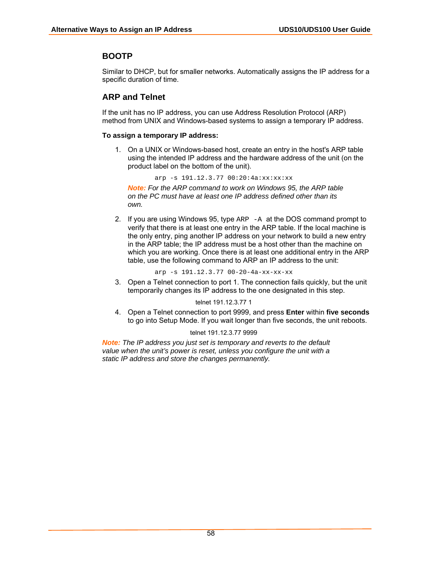### **BOOTP**

Similar to DHCP, but for smaller networks. Automatically assigns the IP address for a specific duration of time.

## **ARP and Telnet**

If the unit has no IP address, you can use Address Resolution Protocol (ARP) method from UNIX and Windows-based systems to assign a temporary IP address.

#### **To assign a temporary IP address:**

1. On a UNIX or Windows-based host, create an entry in the host's ARP table using the intended IP address and the hardware address of the unit (on the product label on the bottom of the unit).

arp -s 191.12.3.77 00:20:4a:xx:xx:xx

*Note: For the ARP command to work on Windows 95, the ARP table on the PC must have at least one IP address defined other than its own.* 

2. If you are using Windows 95, type ARP -A at the DOS command prompt to verify that there is at least one entry in the ARP table. If the local machine is the only entry, ping another IP address on your network to build a new entry in the ARP table; the IP address must be a host other than the machine on which you are working. Once there is at least one additional entry in the ARP table, use the following command to ARP an IP address to the unit:

arp -s 191.12.3.77 00-20-4a-xx-xx-xx

3. Open a Telnet connection to port 1. The connection fails quickly, but the unit temporarily changes its IP address to the one designated in this step.

#### telnet 191.12.3.77 1

4. Open a Telnet connection to port 9999, and press **Enter** within **five seconds** to go into Setup Mode. If you wait longer than five seconds, the unit reboots.

#### telnet 191.12.3.77 9999

*Note: The IP address you just set is temporary and reverts to the default value when the unit's power is reset, unless you configure the unit with a static IP address and store the changes permanently.*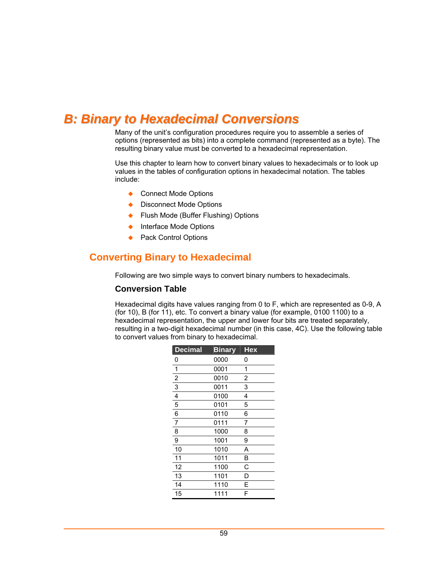## <span id="page-58-0"></span>*B: Binary to Hexadecimal Conversions*

Many of the unit's configuration procedures require you to assemble a series of options (represented as bits) into a complete command (represented as a byte). The resulting binary value must be converted to a hexadecimal representation.

Use this chapter to learn how to convert binary values to hexadecimals or to look up values in the tables of configuration options in hexadecimal notation. The tables include:

- ◆ Connect Mode Options
- ◆ Disconnect Mode Options
- ◆ Flush Mode (Buffer Flushing) Options
- ◆ Interface Mode Options
- ◆ Pack Control Options

## **Converting Binary to Hexadecimal**

Following are two simple ways to convert binary numbers to hexadecimals.

#### **Conversion Table**

Hexadecimal digits have values ranging from 0 to F, which are represented as 0-9, A (for 10), B (for 11), etc. To convert a binary value (for example, 0100 1100) to a hexadecimal representation, the upper and lower four bits are treated separately, resulting in a two-digit hexadecimal number (in this case, 4C). Use the following table to convert values from binary to hexadecimal.

| <b>Decimal</b>          | <b>Binary</b> | <b>Hex</b> |
|-------------------------|---------------|------------|
| 0                       | 0000          | 0          |
| $\mathbf{1}$            | 0001          | 1          |
| $\overline{2}$          | 0010          | 2          |
| 3                       | 0011          | 3          |
| $\overline{\mathbf{4}}$ | 0100          | 4          |
| 5                       | 0101          | 5          |
| 6                       | 0110          | 6          |
| $\overline{7}$          | 0111          | 7          |
| 8                       | 1000          | 8          |
| 9                       | 1001          | 9          |
| 10                      | 1010          | Α          |
| 11                      | 1011          | B          |
| 12                      | 1100          | C          |
| 13                      | 1101          | D          |
| 14                      | 1110          | E          |
| 15                      | 1111          | F          |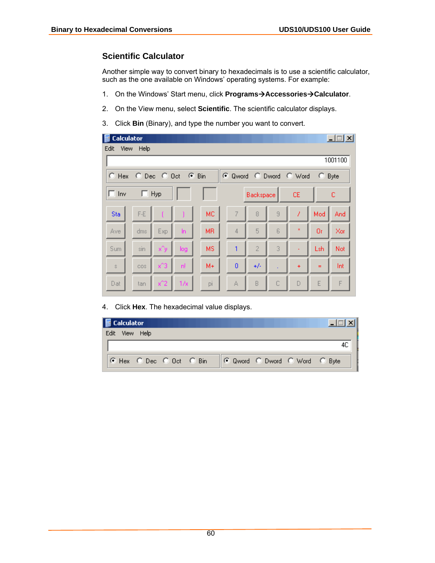## **Scientific Calculator**

Another simple way to convert binary to hexadecimals is to use a scientific calculator, such as the one available on Windows' operating systems. For example:

- 1. On the Windows' Start menu, click **Programs->Accessories->Calculator**.
- 2. On the View menu, select **Scientific**. The scientific calculator displays.
- 3. Click **Bin** (Binary), and type the number you want to convert.

| <b>Calculator</b><br>Е                                         |           |         |       |                |                |                |   |                |     | $ \Box$ $\times$ |
|----------------------------------------------------------------|-----------|---------|-------|----------------|----------------|----------------|---|----------------|-----|------------------|
| Edit                                                           | View Help |         |       |                |                |                |   |                |     |                  |
|                                                                |           |         |       |                |                |                |   |                |     | 1001100          |
| C Hex C Dec C Oct C Bin<br>C Qword C Dword C Word<br>o<br>Byte |           |         |       |                |                |                |   |                |     |                  |
| $\Box$ Inv                                                     | П.        | Hyp     |       |                |                | Backspace      |   | <b>CE</b>      |     | с                |
| Sta                                                            | $F-E$     |         |       | MC.            | 7              | 8              | 9 | 7              | Mod | And              |
| <b>Ave</b>                                                     | dms       | Exp     | $\ln$ | M <sub>R</sub> | 4              | 5              | 6 | $\pmb{\times}$ | Or  | Xor              |
| <b>Sum</b>                                                     | sin       | x^y     | log   | <b>MS</b>      | 1              | $\overline{2}$ | 3 |                | Lsh | Not              |
| $\bar{\mathbb{S}}$                                             | cos       | $x^2$ 3 | n!    | $M +$          | $\overline{0}$ | $+/-$          |   | $\ddot{}$      | $=$ | Int              |
| Dat                                                            | tan       | $x^2$   | 1/x   | pi             | А              | B              | C | D              | E   | F                |

4. Click **Hex**. The hexadecimal value displays.

| Calculator              |                               |  |
|-------------------------|-------------------------------|--|
| Edit View Help          |                               |  |
|                         |                               |  |
| C Hex C Dec C Oct C Bin | C Qword C Dword C Word C Byte |  |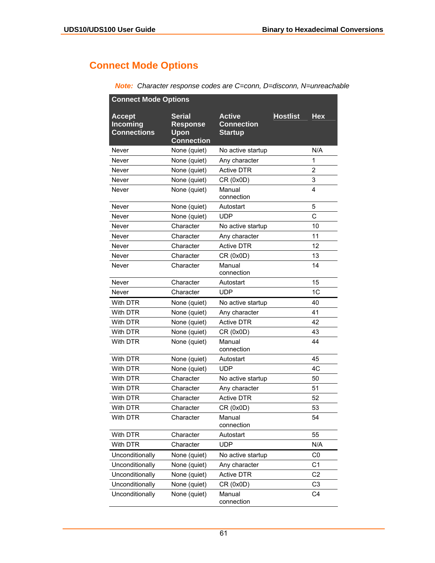## **Connect Mode Options**

| <b>Connect Mode Options</b>                     |                                                               |                                                      |                 |                |  |  |
|-------------------------------------------------|---------------------------------------------------------------|------------------------------------------------------|-----------------|----------------|--|--|
| <b>Accept</b><br>Incoming<br><b>Connections</b> | <b>Serial</b><br><b>Response</b><br>Upon<br><b>Connection</b> | <b>Active</b><br><b>Connection</b><br><b>Startup</b> | <b>Hostlist</b> | <b>Hex</b>     |  |  |
| Never                                           | None (quiet)                                                  | No active startup                                    |                 | N/A            |  |  |
| Never                                           | None (quiet)                                                  | Any character                                        |                 | 1              |  |  |
| Never                                           | None (quiet)                                                  | <b>Active DTR</b>                                    |                 | $\overline{2}$ |  |  |
| Never                                           | None (quiet)                                                  | CR (0x0D)                                            |                 | 3              |  |  |
| Never                                           | None (quiet)                                                  | Manual<br>connection                                 |                 | 4              |  |  |
| Never                                           | None (quiet)                                                  | Autostart                                            |                 | 5              |  |  |
| Never                                           | None (quiet)                                                  | <b>UDP</b>                                           |                 | C              |  |  |
| Never                                           | Character                                                     | No active startup                                    |                 | 10             |  |  |
| Never                                           | Character                                                     | Any character                                        |                 | 11             |  |  |
| Never                                           | Character                                                     | <b>Active DTR</b>                                    |                 | 12             |  |  |
| Never                                           | Character                                                     | CR (0x0D)                                            |                 | 13             |  |  |
| Never                                           | Character                                                     | Manual<br>connection                                 |                 | 14             |  |  |
| Never                                           | Character                                                     | Autostart                                            |                 | 15             |  |  |
| Never                                           | Character                                                     | <b>UDP</b>                                           |                 | 1 <sub>C</sub> |  |  |
| With DTR                                        | None (quiet)                                                  | No active startup                                    |                 | 40             |  |  |
| With DTR                                        | None (quiet)                                                  | Any character                                        |                 | 41             |  |  |
| With DTR                                        | None (quiet)                                                  | <b>Active DTR</b>                                    |                 | 42             |  |  |
| With DTR                                        | None (quiet)                                                  | CR (0x0D)                                            |                 | 43             |  |  |
| With DTR                                        | None (quiet)                                                  | Manual<br>connection                                 |                 | 44             |  |  |
| With DTR                                        | None (quiet)                                                  | Autostart                                            |                 | 45             |  |  |
| <b>With DTR</b>                                 | None (quiet)                                                  | <b>UDP</b>                                           |                 | 4C             |  |  |
| With DTR                                        | Character                                                     | No active startup                                    |                 | 50             |  |  |
| With DTR                                        | Character                                                     | Any character                                        |                 | 51             |  |  |
| With DTR                                        | Character                                                     | <b>Active DTR</b>                                    |                 | 52             |  |  |
| With DTR                                        | Character                                                     | CR (0x0D)                                            |                 | 53             |  |  |
| With DTR                                        | Character                                                     | Manual<br>connection                                 |                 | 54             |  |  |
| With DTR                                        | Character                                                     | Autostart                                            |                 | 55             |  |  |
| With DTR                                        | Character                                                     | <b>UDP</b>                                           |                 | N/A            |  |  |
| Unconditionally                                 | None (quiet)                                                  | No active startup                                    |                 | $_{\rm CO}$    |  |  |
| Unconditionally                                 | None (quiet)                                                  | Any character                                        |                 | C <sub>1</sub> |  |  |
| Unconditionally                                 | None (quiet)                                                  | <b>Active DTR</b>                                    |                 | C <sub>2</sub> |  |  |
| Unconditionally                                 | None (quiet)                                                  | CR (0x0D)                                            |                 | C <sub>3</sub> |  |  |
| Unconditionally                                 | None (quiet)                                                  | Manual<br>connection                                 |                 | C <sub>4</sub> |  |  |

*Note: Character response codes are C=conn, D=disconn, N=unreachable*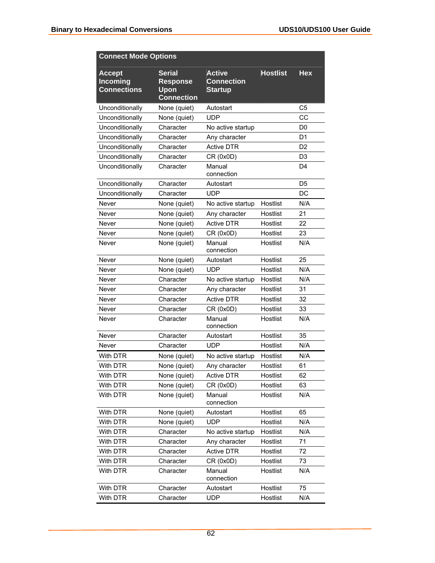| <b>Connect Mode Options</b>                     |                                                               |                                                      |                 |                |
|-------------------------------------------------|---------------------------------------------------------------|------------------------------------------------------|-----------------|----------------|
| <b>Accept</b><br>Incoming<br><b>Connections</b> | <b>Serial</b><br><b>Response</b><br>Upon<br><b>Connection</b> | <b>Active</b><br><b>Connection</b><br><b>Startup</b> | <b>Hostlist</b> | <b>Hex</b>     |
| Unconditionally                                 | None (quiet)                                                  | Autostart                                            |                 | C <sub>5</sub> |
| Unconditionally                                 | None (quiet)                                                  | <b>UDP</b>                                           |                 | CC             |
| Unconditionally                                 | Character                                                     | No active startup                                    |                 | D <sub>0</sub> |
| Unconditionally                                 | Character                                                     | Any character                                        |                 | D <sub>1</sub> |
| Unconditionally                                 | Character                                                     | <b>Active DTR</b>                                    |                 | D <sub>2</sub> |
| Unconditionally                                 | Character                                                     | CR (0x0D)                                            |                 | D <sub>3</sub> |
| Unconditionally                                 | Character                                                     | Manual<br>connection                                 |                 | D4             |
| Unconditionally                                 | Character                                                     | Autostart                                            |                 | D <sub>5</sub> |
| Unconditionally                                 | Character                                                     | <b>UDP</b>                                           |                 | <b>DC</b>      |
| Never                                           | None (quiet)                                                  | No active startup                                    | Hostlist        | N/A            |
| Never                                           | None (quiet)                                                  | Any character                                        | Hostlist        | 21             |
| Never                                           | None (quiet)                                                  | <b>Active DTR</b>                                    | Hostlist        | 22             |
| Never                                           | None (quiet)                                                  | CR (0x0D)                                            | Hostlist        | 23             |
| Never                                           | None (quiet)                                                  | Manual<br>connection                                 | Hostlist        | N/A            |
| Never                                           | None (quiet)                                                  | Autostart                                            | Hostlist        | 25             |
| Never                                           | None (quiet)                                                  | <b>UDP</b>                                           | Hostlist        | N/A            |
| Never                                           | Character                                                     | No active startup                                    | Hostlist        | N/A            |
| Never                                           | Character                                                     | Any character                                        | Hostlist        | 31             |
| Never                                           | Character                                                     | <b>Active DTR</b>                                    | Hostlist        | 32             |
| Never                                           | Character                                                     | CR (0x0D)                                            | Hostlist        | 33             |
| Never                                           | Character                                                     | Manual<br>connection                                 | Hostlist        | N/A            |
| Never                                           | Character                                                     | Autostart                                            | Hostlist        | 35             |
| Never                                           | Character                                                     | <b>UDP</b>                                           | Hostlist        | N/A            |
| With DTR                                        | None (quiet)                                                  | No active startup                                    | Hostlist        | N/A            |
| With DTR                                        | None (quiet)                                                  | Any character                                        | Hostlist        | 61             |
| With DTR                                        | None (quiet)                                                  | <b>Active DTR</b>                                    | Hostlist        | 62             |
| With DTR                                        | None (quiet)                                                  | CR (0x0D)                                            | Hostlist        | 63             |
| With DTR                                        | None (quiet)                                                  | Manual<br>connection                                 | Hostlist        | N/A            |
| With DTR                                        | None (quiet)                                                  | Autostart                                            | Hostlist        | 65             |
| With DTR                                        | None (quiet)                                                  | <b>UDP</b>                                           | Hostlist        | N/A            |
| With DTR                                        | Character                                                     | No active startup                                    | Hostlist        | N/A            |
| With DTR                                        | Character                                                     | Any character                                        | Hostlist        | 71             |
| With DTR                                        | Character                                                     | <b>Active DTR</b>                                    | Hostlist        | 72             |
| With DTR                                        | Character                                                     | CR (0x0D)                                            | Hostlist        | 73             |
| With DTR                                        | Character                                                     | Manual<br>connection                                 | Hostlist        | N/A            |
| With DTR                                        | Character                                                     | Autostart                                            | Hostlist        | 75             |
| With DTR                                        | Character                                                     | <b>UDP</b>                                           | Hostlist        | N/A            |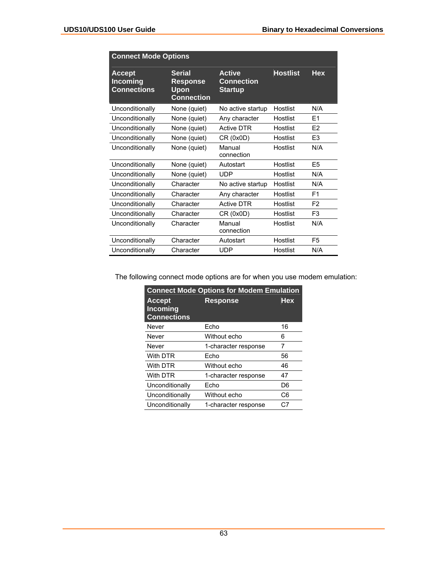|                                                        | <b>Connect Mode Options</b>                                   |                                                      |                 |                |  |  |  |  |
|--------------------------------------------------------|---------------------------------------------------------------|------------------------------------------------------|-----------------|----------------|--|--|--|--|
| <b>Accept</b><br><b>Incoming</b><br><b>Connections</b> | <b>Serial</b><br><b>Response</b><br>Upon<br><b>Connection</b> | <b>Active</b><br><b>Connection</b><br><b>Startup</b> | <b>Hostlist</b> | <b>Hex</b>     |  |  |  |  |
| Unconditionally                                        | None (quiet)                                                  | No active startup                                    | Hostlist        | N/A            |  |  |  |  |
| Unconditionally                                        | None (quiet)                                                  | Any character                                        | Hostlist        | E <sub>1</sub> |  |  |  |  |
| Unconditionally                                        | None (quiet)                                                  | <b>Active DTR</b>                                    | Hostlist        | F <sub>2</sub> |  |  |  |  |
| Unconditionally                                        | None (quiet)                                                  | CR (0x0D)                                            | Hostlist        | E <sub>3</sub> |  |  |  |  |
| Unconditionally                                        | None (quiet)                                                  | Manual<br>connection                                 | Hostlist        | N/A            |  |  |  |  |
| Unconditionally                                        | None (quiet)                                                  | Autostart                                            | Hostlist        | E5             |  |  |  |  |
| Unconditionally                                        | None (quiet)                                                  | <b>UDP</b>                                           | Hostlist        | N/A            |  |  |  |  |
| Unconditionally                                        | Character                                                     | No active startup                                    | Hostlist        | N/A            |  |  |  |  |
| Unconditionally                                        | Character                                                     | Any character                                        | Hostlist        | F <sub>1</sub> |  |  |  |  |
| Unconditionally                                        | Character                                                     | <b>Active DTR</b>                                    | Hostlist        | F <sub>2</sub> |  |  |  |  |
| Unconditionally                                        | Character                                                     | CR (0x0D)                                            | Hostlist        | F <sub>3</sub> |  |  |  |  |
| Unconditionally                                        | Character                                                     | Manual<br>connection                                 | Hostlist        | N/A            |  |  |  |  |
| Unconditionally                                        | Character                                                     | Autostart                                            | Hostlist        | F <sub>5</sub> |  |  |  |  |
| Unconditionally                                        | Character                                                     | UDP                                                  | Hostlist        | N/A            |  |  |  |  |

The following connect mode options are for when you use modem emulation:

| <b>Connect Mode Options for Modem Emulation</b>        |                      |            |  |  |  |  |
|--------------------------------------------------------|----------------------|------------|--|--|--|--|
| <b>Accept</b><br><b>Incoming</b><br><b>Connections</b> | Response             | <b>Hex</b> |  |  |  |  |
| Never                                                  | Echo                 | 16         |  |  |  |  |
| Never                                                  | Without echo         | 6          |  |  |  |  |
| Never                                                  | 1-character response | 7          |  |  |  |  |
| With DTR                                               | Echo                 | 56         |  |  |  |  |
| With DTR                                               | Without echo         | 46         |  |  |  |  |
| With DTR                                               | 1-character response | 47         |  |  |  |  |
| Unconditionally                                        | Echo                 | D6         |  |  |  |  |
| Unconditionally                                        | Without echo         | C6         |  |  |  |  |
| Unconditionally                                        | 1-character response | C7         |  |  |  |  |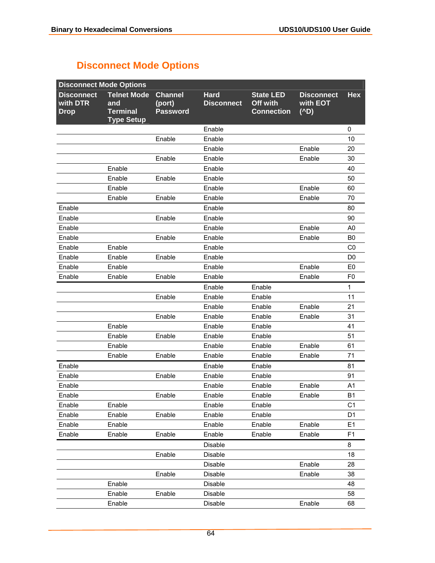## **Disconnect Mode Options**

| <b>Disconnect Mode Options</b>               |                                                                   |                                             |                                  |                                                   |                                          |                |
|----------------------------------------------|-------------------------------------------------------------------|---------------------------------------------|----------------------------------|---------------------------------------------------|------------------------------------------|----------------|
| <b>Disconnect</b><br>with DTR<br><b>Drop</b> | <b>Telnet Mode</b><br>and<br><b>Terminal</b><br><b>Type Setup</b> | <b>Channel</b><br>(port)<br><b>Password</b> | <b>Hard</b><br><b>Disconnect</b> | <b>State LED</b><br>Off with<br><b>Connection</b> | <b>Disconnect</b><br>with EOT<br>$(^AD)$ | <b>Hex</b>     |
|                                              |                                                                   |                                             | Enable                           |                                                   |                                          | 0              |
|                                              |                                                                   | Enable                                      | Enable                           |                                                   |                                          | 10             |
|                                              |                                                                   |                                             | Enable                           |                                                   | Enable                                   | 20             |
|                                              |                                                                   | Enable                                      | Enable                           |                                                   | Enable                                   | 30             |
|                                              | Enable                                                            |                                             | Enable                           |                                                   |                                          | 40             |
|                                              | Enable                                                            | Enable                                      | Enable                           |                                                   |                                          | 50             |
|                                              | Enable                                                            |                                             | Enable                           |                                                   | Enable                                   | 60             |
|                                              | Enable                                                            | Enable                                      | Enable                           |                                                   | Enable                                   | 70             |
| Enable                                       |                                                                   |                                             | Enable                           |                                                   |                                          | 80             |
| Enable                                       |                                                                   | Enable                                      | Enable                           |                                                   |                                          | 90             |
| Enable                                       |                                                                   |                                             | Enable                           |                                                   | Enable                                   | A <sub>0</sub> |
| Enable                                       |                                                                   | Enable                                      | Enable                           |                                                   | Enable                                   | B <sub>0</sub> |
| Enable                                       | Enable                                                            |                                             | Enable                           |                                                   |                                          | C0             |
| Enable                                       | Enable                                                            | Enable                                      | Enable                           |                                                   |                                          | D <sub>0</sub> |
| Enable                                       | Enable                                                            |                                             | Enable                           |                                                   | Enable                                   | E <sub>0</sub> |
| Enable                                       | Enable                                                            | Enable                                      | Enable                           |                                                   | Enable                                   | F <sub>0</sub> |
|                                              |                                                                   |                                             | Enable                           | Enable                                            |                                          | 1              |
|                                              |                                                                   | Enable                                      | Enable                           | Enable                                            |                                          | 11             |
|                                              |                                                                   |                                             | Enable                           | Enable                                            | Enable                                   | 21             |
|                                              |                                                                   | Enable                                      | Enable                           | Enable                                            | Enable                                   | 31             |
|                                              | Enable                                                            |                                             | Enable                           | Enable                                            |                                          | 41             |
|                                              | Enable                                                            | Enable                                      | Enable                           | Enable                                            |                                          | 51             |
|                                              | Enable                                                            |                                             | Enable                           | Enable                                            | Enable                                   | 61             |
|                                              | Enable                                                            | Enable                                      | Enable                           | Enable                                            | Enable                                   | 71             |
| Enable                                       |                                                                   |                                             | Enable                           | Enable                                            |                                          | 81             |
| Enable                                       |                                                                   | Enable                                      | Enable                           | Enable                                            |                                          | 91             |
| Enable                                       |                                                                   |                                             | Enable                           | Enable                                            | Enable                                   | A <sub>1</sub> |
| Enable                                       |                                                                   | Enable                                      | Enable                           | Enable                                            | Enable                                   | <b>B1</b>      |
| Enable                                       | Enable                                                            |                                             | Enable                           | Enable                                            |                                          | C <sub>1</sub> |
| Enable                                       | Enable                                                            | Enable                                      | Enable                           | Enable                                            |                                          | D <sub>1</sub> |
| Enable                                       | Enable                                                            |                                             | Enable                           | Enable                                            | Enable                                   | E1             |
| Enable                                       | Enable                                                            | Enable                                      | Enable                           | Enable                                            | Enable                                   | F <sub>1</sub> |
|                                              |                                                                   |                                             | Disable                          |                                                   |                                          | 8              |
|                                              |                                                                   | Enable                                      | Disable                          |                                                   |                                          | 18             |
|                                              |                                                                   |                                             | Disable                          |                                                   | Enable                                   | 28             |
|                                              |                                                                   | Enable                                      | Disable                          |                                                   | Enable                                   | 38             |
|                                              | Enable                                                            |                                             | Disable                          |                                                   |                                          | 48             |
|                                              | Enable                                                            | Enable                                      | Disable                          |                                                   |                                          | 58             |
|                                              | Enable                                                            |                                             | Disable                          |                                                   | Enable                                   | 68             |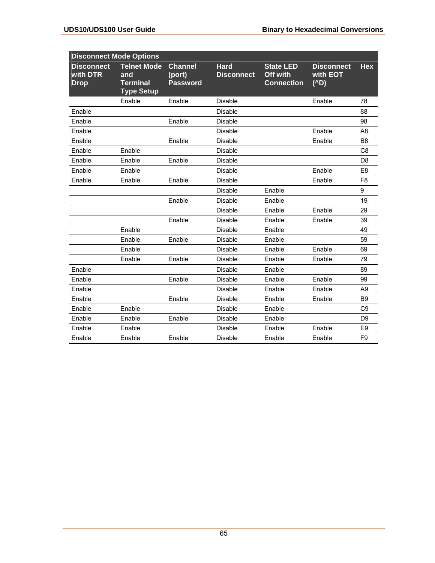| <b>Disconnect Mode Options</b>               |                                                                   |                                             |                                  |                                                   |                                          |                |
|----------------------------------------------|-------------------------------------------------------------------|---------------------------------------------|----------------------------------|---------------------------------------------------|------------------------------------------|----------------|
| <b>Disconnect</b><br>with DTR<br><b>Drop</b> | <b>Telnet Mode</b><br>and<br><b>Terminal</b><br><b>Type Setup</b> | <b>Channel</b><br>(port)<br><b>Password</b> | <b>Hard</b><br><b>Disconnect</b> | <b>State LED</b><br>Off with<br><b>Connection</b> | <b>Disconnect</b><br>with EOT<br>$(^AD)$ | <b>Hex</b>     |
|                                              | Enable                                                            | Enable                                      | <b>Disable</b>                   |                                                   | Enable                                   | 78             |
| Enable                                       |                                                                   |                                             | <b>Disable</b>                   |                                                   |                                          | 88             |
| Enable                                       |                                                                   | Enable                                      | <b>Disable</b>                   |                                                   |                                          | 98             |
| Enable                                       |                                                                   |                                             | <b>Disable</b>                   |                                                   | Enable                                   | A <sub>8</sub> |
| Enable                                       |                                                                   | Enable                                      | <b>Disable</b>                   |                                                   | Enable                                   | B <sub>8</sub> |
| Enable                                       | Enable                                                            |                                             | <b>Disable</b>                   |                                                   |                                          | C <sub>8</sub> |
| Enable                                       | Enable                                                            | Enable                                      | <b>Disable</b>                   |                                                   |                                          | D <sub>8</sub> |
| Enable                                       | Enable                                                            |                                             | <b>Disable</b>                   |                                                   | Enable                                   | E <sub>8</sub> |
| Enable                                       | Enable                                                            | Enable                                      | <b>Disable</b>                   |                                                   | Enable                                   | F <sub>8</sub> |
|                                              |                                                                   |                                             | <b>Disable</b>                   | Enable                                            |                                          | 9              |
|                                              |                                                                   | Enable                                      | <b>Disable</b>                   | Enable                                            |                                          | 19             |
|                                              |                                                                   |                                             | <b>Disable</b>                   | Enable                                            | Enable                                   | 29             |
|                                              |                                                                   | Enable                                      | <b>Disable</b>                   | Enable                                            | Enable                                   | 39             |
|                                              | Enable                                                            |                                             | <b>Disable</b>                   | Enable                                            |                                          | 49             |
|                                              | Enable                                                            | Enable                                      | <b>Disable</b>                   | Enable                                            |                                          | 59             |
|                                              | Enable                                                            |                                             | <b>Disable</b>                   | Enable                                            | Enable                                   | 69             |
|                                              | Enable                                                            | Enable                                      | <b>Disable</b>                   | Enable                                            | Enable                                   | 79             |
| Enable                                       |                                                                   |                                             | <b>Disable</b>                   | Enable                                            |                                          | 89             |
| Enable                                       |                                                                   | Enable                                      | <b>Disable</b>                   | Enable                                            | Enable                                   | 99             |
| Enable                                       |                                                                   |                                             | <b>Disable</b>                   | Enable                                            | Enable                                   | A9             |
| Enable                                       |                                                                   | Enable                                      | <b>Disable</b>                   | Enable                                            | Enable                                   | B <sub>9</sub> |
| Enable                                       | Enable                                                            |                                             | <b>Disable</b>                   | Enable                                            |                                          | C <sub>9</sub> |
| Enable                                       | Enable                                                            | Enable                                      | <b>Disable</b>                   | Enable                                            |                                          | D <sub>9</sub> |
| Enable                                       | Enable                                                            |                                             | <b>Disable</b>                   | Enable                                            | Enable                                   | E <sub>9</sub> |
| Enable                                       | Enable                                                            | Enable                                      | <b>Disable</b>                   | Enable                                            | Enable                                   | F <sub>9</sub> |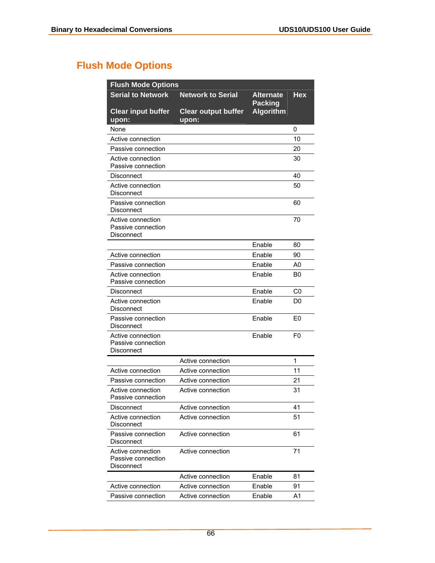## **Flush Mode Options**

| <b>Flush Mode Options</b>                             |                                     |                                    |                |  |  |
|-------------------------------------------------------|-------------------------------------|------------------------------------|----------------|--|--|
| <b>Serial to Network</b>                              | <b>Network to Serial</b>            | <b>Alternate</b>                   | Hex            |  |  |
| <b>Clear input buffer</b><br>upon:                    | <b>Clear output buffer</b><br>upon: | <b>Packing</b><br><b>Algorithm</b> |                |  |  |
| None                                                  |                                     |                                    | 0              |  |  |
| Active connection                                     |                                     |                                    | 10             |  |  |
| Passive connection                                    |                                     |                                    | 20             |  |  |
| Active connection<br>Passive connection               |                                     |                                    | 30             |  |  |
| Disconnect                                            |                                     |                                    | 40             |  |  |
| Active connection<br>Disconnect                       |                                     |                                    | 50             |  |  |
| Passive connection<br>Disconnect                      |                                     |                                    | 60             |  |  |
| Active connection<br>Passive connection<br>Disconnect |                                     |                                    | 70             |  |  |
|                                                       |                                     | Enable                             | 80             |  |  |
| Active connection                                     |                                     | Enable                             | 90             |  |  |
| Passive connection                                    |                                     | Enable                             | A0             |  |  |
| Active connection<br>Passive connection               |                                     | Enable                             | B0             |  |  |
| Disconnect                                            |                                     | Enable                             | C0             |  |  |
| Active connection<br>Disconnect                       |                                     | Enable                             | D0             |  |  |
| Passive connection<br>Disconnect                      |                                     | Enable                             | E <sub>0</sub> |  |  |
| Active connection<br>Passive connection<br>Disconnect |                                     | Enable                             | F <sub>0</sub> |  |  |
|                                                       | Active connection                   |                                    | 1              |  |  |
| Active connection                                     | Active connection                   |                                    | 11             |  |  |
| Passive connection                                    | Active connection                   |                                    | 21             |  |  |
| Active connection<br><b>Passive connection</b>        | Active connection                   |                                    | 31             |  |  |
| Disconnect                                            | Active connection                   |                                    | 41             |  |  |
| Active connection<br>Disconnect                       | Active connection                   |                                    | 51             |  |  |
| Passive connection<br>Disconnect                      | Active connection                   |                                    | 61             |  |  |
| Active connection<br>Passive connection<br>Disconnect | Active connection                   |                                    | 71             |  |  |
|                                                       | Active connection                   | Enable                             | 81             |  |  |
| Active connection                                     | Active connection                   | Enable                             | 91             |  |  |
| Passive connection                                    | Active connection                   | Enable                             | A1             |  |  |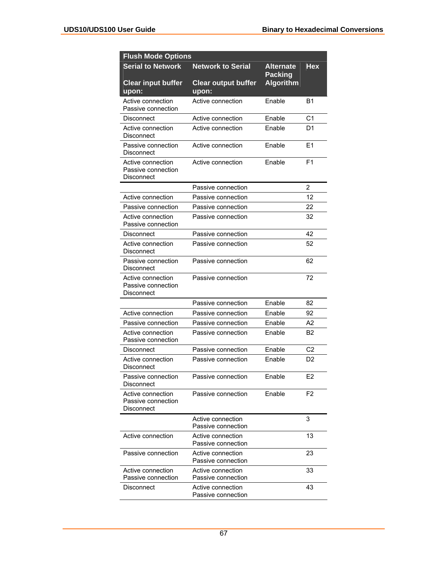| <b>Flush Mode Options</b>                             |                                         |                                    |                |  |
|-------------------------------------------------------|-----------------------------------------|------------------------------------|----------------|--|
| <b>Serial to Network</b>                              | <b>Network to Serial</b>                | <b>Alternate</b><br><b>Packing</b> | Hex            |  |
| <b>Clear input buffer</b><br>upon:                    | <b>Clear output buffer</b><br>upon:     | <b>Algorithm</b>                   |                |  |
| Active connection<br>Passive connection               | Active connection                       | Enable                             | Β1             |  |
| Disconnect                                            | Active connection                       | Enable                             | C <sub>1</sub> |  |
| Active connection<br>Disconnect                       | Active connection                       | Enable                             | D1             |  |
| Passive connection<br><b>Disconnect</b>               | Active connection                       | Enable                             | E1             |  |
| Active connection<br>Passive connection<br>Disconnect | Active connection                       | Enable                             | F <sub>1</sub> |  |
|                                                       | Passive connection                      |                                    | 2              |  |
| Active connection                                     | Passive connection                      |                                    | 12             |  |
| Passive connection                                    | Passive connection                      |                                    | 22             |  |
| Active connection<br>Passive connection               | Passive connection                      |                                    | 32             |  |
| Disconnect                                            | Passive connection                      |                                    | 42             |  |
| Active connection<br>Disconnect                       | Passive connection                      |                                    | 52             |  |
| Passive connection<br>Disconnect                      | Passive connection                      |                                    | 62             |  |
| Active connection<br>Passive connection<br>Disconnect | Passive connection                      |                                    | 72             |  |
|                                                       | Passive connection                      | Enable                             | 82             |  |
| Active connection                                     | Passive connection                      | Enable                             | 92             |  |
| Passive connection                                    | Passive connection                      | Enable                             | A2             |  |
| Active connection<br>Passive connection               | Passive connection                      | Enable                             | B2             |  |
| Disconnect                                            | Passive connection                      | Enable                             | C <sub>2</sub> |  |
| Active connection<br>Disconnect                       | Passive connection                      | Enable                             | D <sub>2</sub> |  |
| Passive connection<br><b>Disconnect</b>               | Passive connection                      | Enable                             | E <sub>2</sub> |  |
| Active connection<br>Passive connection<br>Disconnect | Passive connection                      | Enable                             | F <sub>2</sub> |  |
|                                                       | Active connection<br>Passive connection |                                    | 3              |  |
| Active connection                                     | Active connection<br>Passive connection |                                    | 13             |  |
| Passive connection                                    | Active connection<br>Passive connection |                                    | 23             |  |
| Active connection<br>Passive connection               | Active connection<br>Passive connection |                                    | 33             |  |
| Disconnect                                            | Active connection<br>Passive connection |                                    | 43             |  |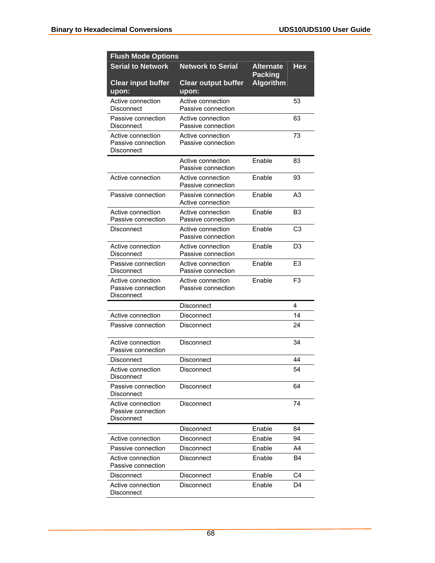| <b>Flush Mode Options</b>                             |                                         |                                    |                |  |
|-------------------------------------------------------|-----------------------------------------|------------------------------------|----------------|--|
| <b>Serial to Network</b>                              | <b>Network to Serial</b>                | Alternate                          | Hex            |  |
| <b>Clear input buffer</b><br>upon:                    | <b>Clear output buffer</b><br>upon:     | <b>Packing</b><br><b>Algorithm</b> |                |  |
| Active connection<br>Disconnect                       | Active connection<br>Passive connection |                                    | 53             |  |
| Passive connection<br>Disconnect                      | Active connection<br>Passive connection |                                    | 63             |  |
| Active connection<br>Passive connection<br>Disconnect | Active connection<br>Passive connection |                                    | 73             |  |
|                                                       | Active connection<br>Passive connection | Enable                             | 83             |  |
| Active connection                                     | Active connection<br>Passive connection | Enable                             | 93             |  |
| Passive connection                                    | Passive connection<br>Active connection | Fnable                             | A <sub>3</sub> |  |
| Active connection<br>Passive connection               | Active connection<br>Passive connection | Enable                             | B3             |  |
| Disconnect                                            | Active connection<br>Passive connection | Enable                             | C <sub>3</sub> |  |
| Active connection<br>Disconnect                       | Active connection<br>Passive connection | Enable                             | D <sub>3</sub> |  |
| Passive connection<br>Disconnect                      | Active connection<br>Passive connection | Enable                             | E <sub>3</sub> |  |
| Active connection<br>Passive connection<br>Disconnect | Active connection<br>Passive connection | Enable                             | F <sub>3</sub> |  |
|                                                       | Disconnect                              |                                    | 4              |  |
| Active connection                                     | <b>Disconnect</b>                       |                                    | 14             |  |
| Passive connection                                    | Disconnect                              |                                    | 24             |  |
| Active connection<br>Passive connection               | Disconnect                              |                                    | 34             |  |
| Disconnect                                            | Disconnect                              |                                    | 44             |  |
| Active connection<br>Disconnect                       | Disconnect                              |                                    | 54             |  |
| Passive connection<br>Disconnect                      | Disconnect                              |                                    | 64             |  |
| Active connection<br>Passive connection<br>Disconnect | Disconnect                              |                                    | 74             |  |
|                                                       | Disconnect                              | Enable                             | 84             |  |
| Active connection                                     | Disconnect                              | Enable                             | 94             |  |
| Passive connection                                    | Disconnect                              | Enable                             | A4             |  |
| Active connection<br>Passive connection               | Disconnect                              | Enable                             | B4             |  |
| Disconnect                                            | Disconnect                              | Enable                             | C4             |  |
| Active connection<br>Disconnect                       | Disconnect                              | Enable                             | D4             |  |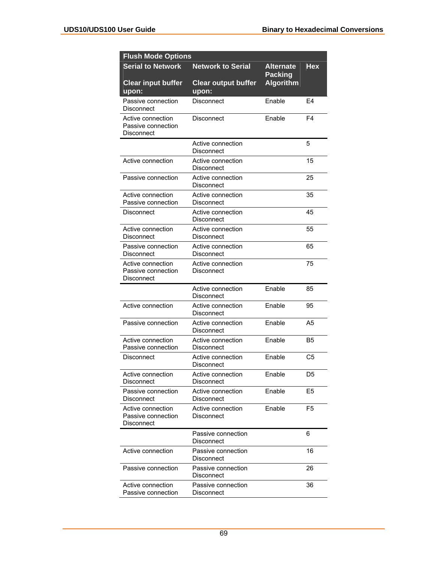| <b>Flush Mode Options</b>                             |                                     |                                    |                |
|-------------------------------------------------------|-------------------------------------|------------------------------------|----------------|
| <b>Serial to Network</b>                              | <b>Network to Serial</b>            | <b>Alternate</b><br><b>Packing</b> | Hex            |
| <b>Clear input buffer</b><br>upon:                    | <b>Clear output buffer</b><br>upon: | Algorithm                          |                |
| Passive connection<br>Disconnect                      | Disconnect                          | Enable                             | F4             |
| Active connection<br>Passive connection<br>Disconnect | Disconnect                          | Enable                             | F4             |
|                                                       | Active connection<br>Disconnect     |                                    | 5              |
| Active connection                                     | Active connection<br>Disconnect     |                                    | 15             |
| Passive connection                                    | Active connection<br>Disconnect     |                                    | 25             |
| Active connection<br>Passive connection               | Active connection<br>Disconnect     |                                    | 35             |
| Disconnect                                            | Active connection<br>Disconnect     |                                    | 45             |
| Active connection<br>Disconnect                       | Active connection<br>Disconnect     |                                    | 55             |
| Passive connection<br>Disconnect                      | Active connection<br>Disconnect     |                                    | 65             |
| Active connection<br>Passive connection<br>Disconnect | Active connection<br>Disconnect     |                                    | 75             |
|                                                       | Active connection<br>Disconnect     | Enable                             | 85             |
| Active connection                                     | Active connection<br>Disconnect     | Enable                             | 95             |
| Passive connection                                    | Active connection<br>Disconnect     | Enable                             | A5             |
| Active connection<br>Passive connection               | Active connection<br>Disconnect     | Fnable                             | B5             |
| Disconnect                                            | Active connection<br>Disconnect     | Enable                             | C5             |
| Active connection<br>Disconnect                       | Active connection<br>Disconnect     | Enable                             | D <sub>5</sub> |
| Passive connection<br>Disconnect                      | Active connection<br>Disconnect     | Enable                             | E <sub>5</sub> |
| Active connection<br>Passive connection<br>Disconnect | Active connection<br>Disconnect     | Enable                             | F <sub>5</sub> |
|                                                       | Passive connection<br>Disconnect    |                                    | 6              |
| Active connection                                     | Passive connection<br>Disconnect    |                                    | 16             |
| Passive connection                                    | Passive connection<br>Disconnect    |                                    | 26             |
| Active connection<br>Passive connection               | Passive connection<br>Disconnect    |                                    | 36             |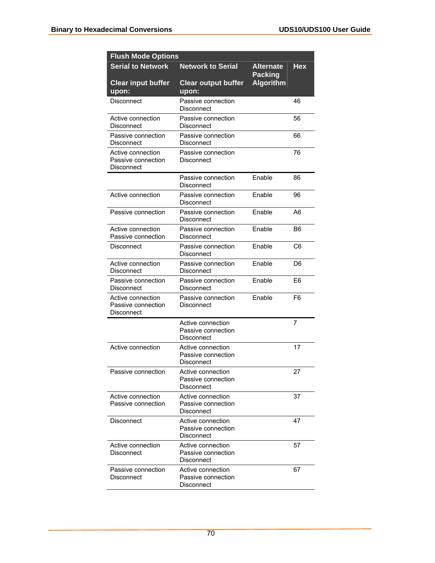| <b>Flush Mode Options</b>                             |                                                       |                                    |                |  |
|-------------------------------------------------------|-------------------------------------------------------|------------------------------------|----------------|--|
| <b>Serial to Network</b>                              | <b>Network to Serial</b>                              | Alternate                          | <b>Hex</b>     |  |
| <b>Clear input buffer</b><br>upon:                    | <b>Clear output buffer</b><br>upon:                   | <b>Packing</b><br><b>Algorithm</b> |                |  |
| Disconnect                                            | Passive connection<br>Disconnect                      |                                    | 46             |  |
| Active connection<br>Disconnect                       | Passive connection<br>Disconnect                      |                                    | 56             |  |
| Passive connection<br>Disconnect                      | Passive connection<br>Disconnect                      |                                    | 66             |  |
| Active connection<br>Passive connection<br>Disconnect | Passive connection<br>Disconnect                      |                                    | 76             |  |
|                                                       | Passive connection<br>Disconnect                      | Enable                             | 86             |  |
| Active connection                                     | Passive connection<br>Disconnect                      | Enable                             | 96             |  |
| Passive connection                                    | Passive connection<br>Disconnect                      | Fnable                             | A6             |  |
| Active connection<br>Passive connection               | Passive connection<br>Disconnect                      | Enable                             | B6             |  |
| Disconnect                                            | Passive connection<br>Disconnect                      | Enable                             | C <sub>6</sub> |  |
| Active connection<br>Disconnect                       | Passive connection<br>Disconnect                      | Enable                             | D6             |  |
| Passive connection<br>Disconnect                      | Passive connection<br>Disconnect                      | Enable                             | E <sub>6</sub> |  |
| Active connection<br>Passive connection<br>Disconnect | Passive connection<br>Disconnect                      | Enable                             | F6             |  |
|                                                       | Active connection<br>Passive connection<br>Disconnect |                                    | 7              |  |
| Active connection                                     | Active connection<br>Passive connection<br>Disconnect |                                    | 17             |  |
| Passive connection                                    | Active connection<br>Passive connection<br>Disconnect |                                    | 27             |  |
| Active connection<br>Passive connection               | Active connection<br>Passive connection<br>Disconnect |                                    | 37             |  |
| Disconnect                                            | Active connection<br>Passive connection<br>Disconnect |                                    | 47             |  |
| Active connection<br>Disconnect                       | Active connection<br>Passive connection<br>Disconnect |                                    | 57             |  |
| Passive connection<br>Disconnect                      | Active connection<br>Passive connection<br>Disconnect |                                    | 67             |  |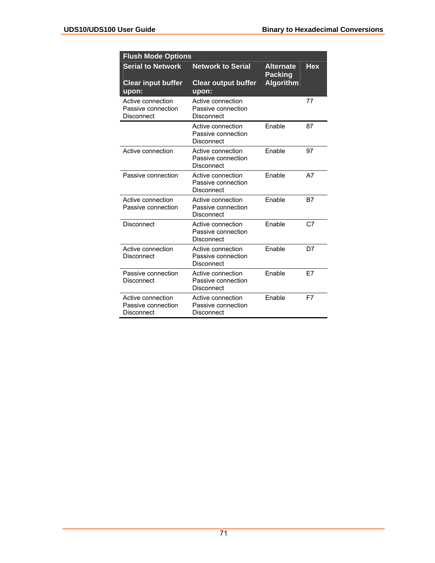| <b>Flush Mode Options</b>                             |                                                       |                                    |                |
|-------------------------------------------------------|-------------------------------------------------------|------------------------------------|----------------|
| <b>Serial to Network</b>                              | <b>Network to Serial</b>                              | <b>Alternate</b><br><b>Packing</b> | <b>Hex</b>     |
| <b>Clear input buffer</b><br>upon:                    | <b>Clear output buffer</b><br>upon:                   | <b>Algorithm</b>                   |                |
| Active connection<br>Passive connection<br>Disconnect | Active connection<br>Passive connection<br>Disconnect |                                    | 77             |
|                                                       | Active connection<br>Passive connection<br>Disconnect | Enable                             | 87             |
| Active connection                                     | Active connection<br>Passive connection<br>Disconnect | Fnable                             | 97             |
| Passive connection                                    | Active connection<br>Passive connection<br>Disconnect | Fnable                             | A7             |
| Active connection<br>Passive connection               | Active connection<br>Passive connection<br>Disconnect | Enable                             | B7             |
| Disconnect                                            | Active connection<br>Passive connection<br>Disconnect | Fnable                             | C <sub>7</sub> |
| Active connection<br>Disconnect                       | Active connection<br>Passive connection<br>Disconnect | Enable                             | D7             |
| Passive connection<br>Disconnect                      | Active connection<br>Passive connection<br>Disconnect | Fnable                             | E7             |
| Active connection<br>Passive connection<br>Disconnect | Active connection<br>Passive connection<br>Disconnect | Fnable                             | F7             |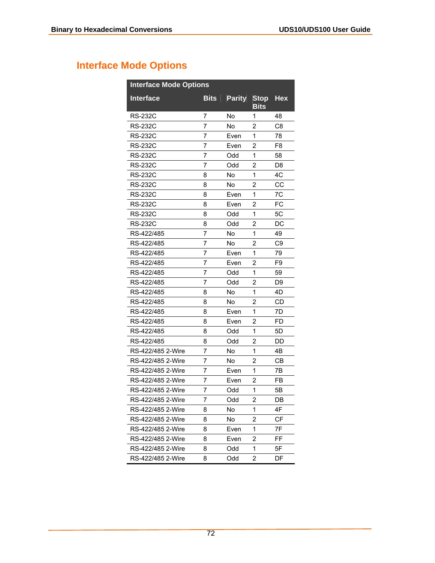## **Interface Mode Options**

| <b>Interface Mode Options</b> |             |               |                            |                |  |
|-------------------------------|-------------|---------------|----------------------------|----------------|--|
| <b>Interface</b>              | <b>Bits</b> | <b>Parity</b> | <b>Stop</b><br><b>Bits</b> | <b>Hex</b>     |  |
| <b>RS-232C</b>                | 7           | Nο            | 1                          | 48             |  |
| <b>RS-232C</b>                | 7           | No            | 2                          | C8             |  |
| <b>RS-232C</b>                | 7           | Even          | 1                          | 78             |  |
| <b>RS-232C</b>                | 7           | Even          | 2                          | F8             |  |
| <b>RS-232C</b>                | 7           | Odd           | 1                          | 58             |  |
| RS-232C                       | 7           | Odd           | 2                          | D8             |  |
| <b>RS-232C</b>                | 8           | No            | 1                          | 4C             |  |
| RS-232C                       | 8           | No            | 2                          | CC             |  |
| RS-232C                       | 8           | Even          | 1                          | 7C             |  |
| RS-232C                       | 8           | Even          | 2                          | FC             |  |
| <b>RS-232C</b>                | 8           | Odd           | 1                          | 5C             |  |
| <b>RS-232C</b>                | 8           | Odd           | 2                          | DC             |  |
| RS-422/485                    | 7           | No            | 1                          | 49             |  |
| RS-422/485                    | 7           | No            | 2                          | C <sub>9</sub> |  |
| RS-422/485                    | 7           | Even          | 1                          | 79             |  |
| RS-422/485                    | 7           | Even          | 2                          | F9             |  |
| RS-422/485                    | 7           | Odd           | 1                          | 59             |  |
| RS-422/485                    | 7           | Odd           | 2                          | D9             |  |
| RS-422/485                    | 8           | No            | 1                          | 4D             |  |
| RS-422/485                    | 8           | <b>No</b>     | 2                          | CD             |  |
| RS-422/485                    | 8           | Even          | 1                          | 7D             |  |
| RS-422/485                    | 8           | Even          | 2                          | FD             |  |
| RS-422/485                    | 8           | Odd           | 1                          | 5D             |  |
| RS-422/485                    | 8           | Odd           | 2                          | DD             |  |
| RS-422/485 2-Wire             | 7           | No            | 1                          | 4Β             |  |
| RS-422/485 2-Wire             | 7           | No            | 2                          | CВ             |  |
| RS-422/485 2-Wire             | 7           | Even          | 1                          | 7Β             |  |
| RS-422/485 2-Wire             | 7           | Even          | 2                          | FB             |  |
| RS-422/485 2-Wire             | 7           | Odd           | 1                          | 5Β             |  |
| RS-422/485 2-Wire             | 7           | Odd           | 2                          | DB             |  |
| RS-422/485 2-Wire             | 8           | No            | 1                          | 4F             |  |
| RS-422/485 2-Wire             | 8           | No            | 2                          | СF             |  |
| RS-422/485 2-Wire             | 8           | Even          | 1                          | 7F             |  |
| RS-422/485 2-Wire             | 8           | Even          | 2                          | FF             |  |
| RS-422/485 2-Wire             | 8           | Odd           | 1                          | 5F             |  |
| RS-422/485 2-Wire             | 8           | Odd           | 2                          | DF             |  |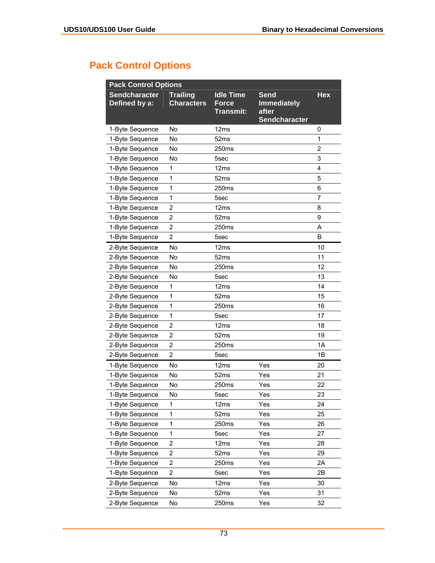# **Pack Control Options**

| <b>Pack Control Options</b>           |                                      |                                                      |                                                                    |                |  |  |
|---------------------------------------|--------------------------------------|------------------------------------------------------|--------------------------------------------------------------------|----------------|--|--|
| <b>Sendcharacter</b><br>Defined by a: | <b>Trailing</b><br><b>Characters</b> | <b>Idle Time</b><br><b>Force</b><br><b>Transmit:</b> | <b>Send</b><br><b>Immediately</b><br>after<br><b>Sendcharacter</b> | <b>Hex</b>     |  |  |
| 1-Byte Sequence                       | <b>No</b>                            | 12ms                                                 |                                                                    | 0              |  |  |
| 1-Byte Sequence                       | No                                   | 52 <sub>ms</sub>                                     |                                                                    | $\mathbf{1}$   |  |  |
| 1-Byte Sequence                       | No                                   | 250ms                                                |                                                                    | $\overline{2}$ |  |  |
| 1-Byte Sequence                       | No                                   | 5sec                                                 |                                                                    | 3              |  |  |
| 1-Byte Sequence                       | 1                                    | 12ms                                                 |                                                                    | 4              |  |  |
| 1-Byte Sequence                       | 1                                    | 52ms                                                 |                                                                    | 5              |  |  |
| 1-Byte Sequence                       | 1                                    | 250 <sub>ms</sub>                                    |                                                                    | 6              |  |  |
| 1-Byte Sequence                       | 1                                    | 5sec                                                 |                                                                    | 7              |  |  |
| 1-Byte Sequence                       | 2                                    | 12 <sub>ms</sub>                                     |                                                                    | 8              |  |  |
| 1-Byte Sequence                       | $\overline{2}$                       | 52ms                                                 |                                                                    | 9              |  |  |
| 1-Byte Sequence                       | $\overline{2}$                       | 250ms                                                |                                                                    | A              |  |  |
| 1-Byte Sequence                       | $\overline{2}$                       | 5sec                                                 |                                                                    | B              |  |  |
| 2-Byte Sequence                       | No                                   | 12ms                                                 |                                                                    | 10             |  |  |
| 2-Byte Sequence                       | No                                   | 52ms                                                 |                                                                    | 11             |  |  |
| 2-Byte Sequence                       | No                                   | 250ms                                                |                                                                    | 12             |  |  |
| 2-Byte Sequence                       | No                                   | 5sec                                                 |                                                                    | 13             |  |  |
| 2-Byte Sequence                       | 1                                    | 12ms                                                 |                                                                    | 14             |  |  |
| 2-Byte Sequence                       | 1                                    | 52 <sub>ms</sub>                                     |                                                                    | 15             |  |  |
| 2-Byte Sequence                       | 1                                    | 250 <sub>ms</sub>                                    |                                                                    | 16             |  |  |
| 2-Byte Sequence                       | 1                                    | 5sec                                                 |                                                                    | 17             |  |  |
| 2-Byte Sequence                       | 2                                    | 12ms                                                 |                                                                    | 18             |  |  |
| 2-Byte Sequence                       | $\overline{\mathbf{c}}$              | 52 <sub>ms</sub>                                     |                                                                    | 19             |  |  |
| 2-Byte Sequence                       | 2                                    | 250ms                                                |                                                                    | 1A             |  |  |
| 2-Byte Sequence                       | $\overline{2}$                       | 5sec                                                 |                                                                    | 1B             |  |  |
| 1-Byte Sequence                       | No                                   | 12 <sub>ms</sub>                                     | Yes                                                                | 20             |  |  |
| 1-Byte Sequence                       | No                                   | 52 <sub>ms</sub>                                     | Yes                                                                | 21             |  |  |
| 1-Byte Sequence                       | No                                   | 250ms                                                | Yes                                                                | 22             |  |  |
| 1-Byte Sequence                       | No                                   | 5sec                                                 | Yes                                                                | 23             |  |  |
| 1-Byte Sequence                       | 1                                    | 12 <sub>ms</sub>                                     | Yes                                                                | 24             |  |  |
| 1-Byte Sequence                       | 1                                    | 52ms                                                 | Yes                                                                | 25             |  |  |
| 1-Byte Sequence                       | 1                                    | 250ms                                                | Yes                                                                | 26             |  |  |
| 1-Byte Sequence                       | 1                                    | 5sec                                                 | Yes                                                                | 27             |  |  |
| 1-Byte Sequence                       | 2                                    | 12ms                                                 | Yes                                                                | 28             |  |  |
| 1-Byte Sequence                       | $\overline{\mathbf{c}}$              | 52ms                                                 | Yes                                                                | 29             |  |  |
| 1-Byte Sequence                       | 2                                    | 250ms                                                | Yes                                                                | 2A             |  |  |
| 1-Byte Sequence                       | 2                                    | 5sec                                                 | Yes                                                                | 2B             |  |  |
| 2-Byte Sequence                       | No                                   | 12 <sub>ms</sub>                                     | Yes                                                                | 30             |  |  |
| 2-Byte Sequence                       | No                                   | 52ms                                                 | Yes                                                                | 31             |  |  |
| 2-Byte Sequence                       | No                                   | 250ms                                                | Yes                                                                | 32             |  |  |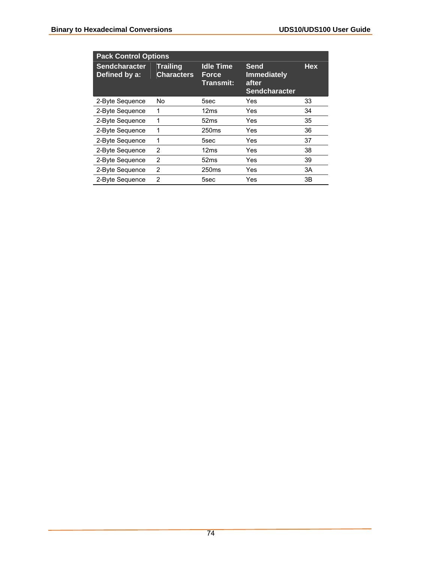| <b>Pack Control Options</b>           |                                      |                                        |                                                                    |            |  |  |
|---------------------------------------|--------------------------------------|----------------------------------------|--------------------------------------------------------------------|------------|--|--|
| <b>Sendcharacter</b><br>Defined by a: | <b>Trailing</b><br><b>Characters</b> | <b>Idle Time</b><br>Force<br>Transmit: | <b>Send</b><br><b>Immediately</b><br>after<br><b>Sendcharacter</b> | <b>Hex</b> |  |  |
| 2-Byte Sequence                       | No                                   | 5sec                                   | Yes                                                                | 33         |  |  |
| 2-Byte Sequence                       | 1                                    | 12ms                                   | Yes                                                                | 34         |  |  |
| 2-Byte Sequence                       | 1                                    | 52 <sub>ms</sub>                       | Yes                                                                | 35         |  |  |
| 2-Byte Sequence                       | 1                                    | 250 <sub>ms</sub>                      | Yes                                                                | 36         |  |  |
| 2-Byte Sequence                       | 1                                    | 5sec                                   | Yes                                                                | 37         |  |  |
| 2-Byte Sequence                       | $\overline{2}$                       | 12ms                                   | Yes                                                                | 38         |  |  |
| 2-Byte Sequence                       | 2                                    | 52 <sub>ms</sub>                       | Yes                                                                | 39         |  |  |
| 2-Byte Sequence                       | 2                                    | 250 <sub>ms</sub>                      | Yes                                                                | 3A         |  |  |
| 2-Byte Sequence                       | $\overline{2}$                       | 5sec                                   | Yes                                                                | 3B         |  |  |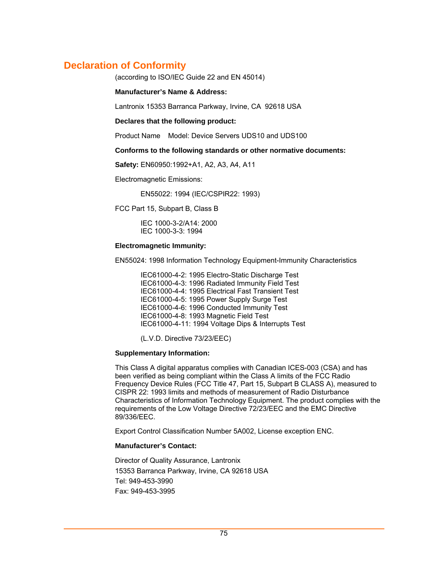### **Declaration of Conformity**

(according to ISO/IEC Guide 22 and EN 45014)

#### **Manufacturer's Name & Address:**

Lantronix 15353 Barranca Parkway, Irvine, CA 92618 USA

**Declares that the following product:** 

Product Name Model: Device Servers UDS10 and UDS100

#### **Conforms to the following standards or other normative documents:**

**Safety:** EN60950:1992+A1, A2, A3, A4, A11

Electromagnetic Emissions:

EN55022: 1994 (IEC/CSPIR22: 1993)

FCC Part 15, Subpart B, Class B

 IEC 1000-3-2/A14: 2000 IEC 1000-3-3: 1994

#### **Electromagnetic Immunity:**

EN55024: 1998 Information Technology Equipment-Immunity Characteristics

 IEC61000-4-2: 1995 Electro-Static Discharge Test IEC61000-4-3: 1996 Radiated Immunity Field Test IEC61000-4-4: 1995 Electrical Fast Transient Test IEC61000-4-5: 1995 Power Supply Surge Test IEC61000-4-6: 1996 Conducted Immunity Test IEC61000-4-8: 1993 Magnetic Field Test IEC61000-4-11: 1994 Voltage Dips & Interrupts Test

(L.V.D. Directive 73/23/EEC)

#### **Supplementary Information:**

This Class A digital apparatus complies with Canadian ICES-003 (CSA) and has been verified as being compliant within the Class A limits of the FCC Radio Frequency Device Rules (FCC Title 47, Part 15, Subpart B CLASS A), measured to CISPR 22: 1993 limits and methods of measurement of Radio Disturbance Characteristics of Information Technology Equipment. The product complies with the requirements of the Low Voltage Directive 72/23/EEC and the EMC Directive 89/336/EEC.

Export Control Classification Number 5A002, License exception ENC.

#### **Manufacturer's Contact:**

Director of Quality Assurance, Lantronix 15353 Barranca Parkway, Irvine, CA 92618 USA Tel: 949-453-3990 Fax: 949-453-3995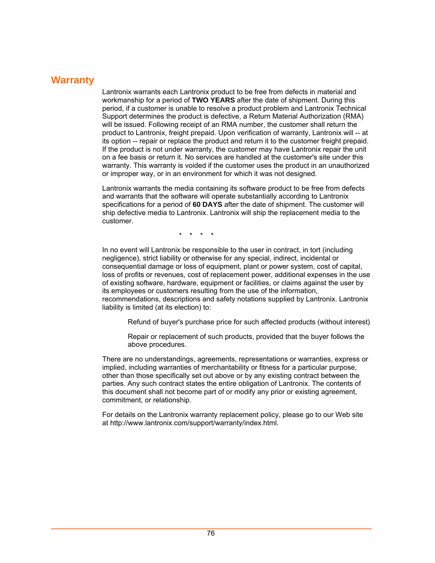### **Warranty**

Lantronix warrants each Lantronix product to be free from defects in material and workmanship for a period of **TWO YEARS** after the date of shipment. During this period, if a customer is unable to resolve a product problem and Lantronix Technical Support determines the product is defective, a Return Material Authorization (RMA) will be issued. Following receipt of an RMA number, the customer shall return the product to Lantronix, freight prepaid. Upon verification of warranty, Lantronix will -- at its option -- repair or replace the product and return it to the customer freight prepaid. If the product is not under warranty, the customer may have Lantronix repair the unit on a fee basis or return it. No services are handled at the customer's site under this warranty. This warranty is voided if the customer uses the product in an unauthorized or improper way, or in an environment for which it was not designed.

Lantronix warrants the media containing its software product to be free from defects and warrants that the software will operate substantially according to Lantronix specifications for a period of **60 DAYS** after the date of shipment. The customer will ship defective media to Lantronix. Lantronix will ship the replacement media to the customer.

\* \* \* \*

In no event will Lantronix be responsible to the user in contract, in tort (including negligence), strict liability or otherwise for any special, indirect, incidental or consequential damage or loss of equipment, plant or power system, cost of capital, loss of profits or revenues, cost of replacement power, additional expenses in the use of existing software, hardware, equipment or facilities, or claims against the user by its employees or customers resulting from the use of the information, recommendations, descriptions and safety notations supplied by Lantronix. Lantronix liability is limited (at its election) to:

Refund of buyer's purchase price for such affected products (without interest)

Repair or replacement of such products, provided that the buyer follows the above procedures.

There are no understandings, agreements, representations or warranties, express or implied, including warranties of merchantability or fitness for a particular purpose, other than those specifically set out above or by any existing contract between the parties. Any such contract states the entire obligation of Lantronix. The contents of this document shall not become part of or modify any prior or existing agreement, commitment, or relationship.

For details on the Lantronix warranty replacement policy, please go to our Web site at http://www.lantronix.com/support/warranty/index.html.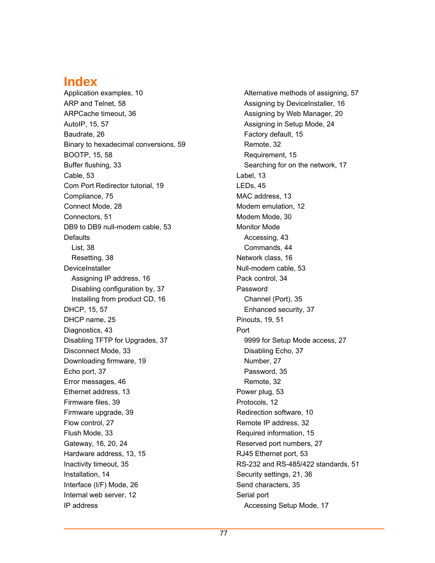## **Index**

Application examples, 10 ARP and Telnet, 58 ARPCache timeout, 36 AutoIP, 15, 57 Baudrate, 26 Binary to hexadecimal conversions, 59 BOOTP, 15, 58 Buffer flushing, 33 Cable, 53 Com Port Redirector tutorial, 19 Compliance, 75 Connect Mode, 28 Connectors, 51 DB9 to DB9 null-modem cable, 53 **Defaults** List, 38 Resetting, 38 **DeviceInstaller** Assigning IP address, 16 Disabling configuration by, 37 Installing from product CD, 16 DHCP, 15, 57 DHCP name, 25 Diagnostics, 43 Disabling TFTP for Upgrades, 37 Disconnect Mode, 33 Downloading firmware, 19 Echo port, 37 Error messages, 46 Ethernet address, 13 Firmware files, 39 Firmware upgrade, 39 Flow control, 27 Flush Mode, 33 Gateway, 16, 20, 24 Hardware address, 13, 15 Inactivity timeout, 35 Installation, 14 Interface (I/F) Mode, 26 Internal web server, 12 IP address

Alternative methods of assigning, 57 Assigning by DeviceInstaller, 16 Assigning by Web Manager, 20 Assigning in Setup Mode, 24 Factory default, 15 Remote, 32 Requirement, 15 Searching for on the network, 17 Label, 13 LEDs, 45 MAC address, 13 Modem emulation, 12 Modem Mode, 30 Monitor Mode Accessing, 43 Commands, 44 Network class, 16 Null-modem cable, 53 Pack control, 34 Password Channel (Port), 35 Enhanced security, 37 Pinouts, 19, 51 Port 9999 for Setup Mode access, 27 Disabling Echo, 37 Number, 27 Password, 35 Remote, 32 Power plug, 53 Protocols, 12 Redirection software, 10 Remote IP address, 32 Required information, 15 Reserved port numbers, 27 RJ45 Ethernet port, 53 RS-232 and RS-485/422 standards, 51 Security settings, 21, 36 Send characters, 35 Serial port Accessing Setup Mode, 17